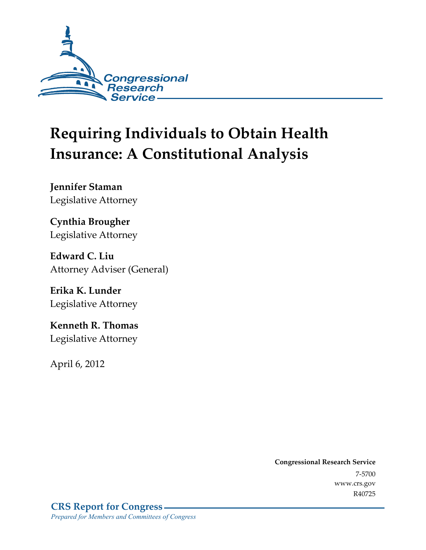

# **Requiring Individuals to Obtain Health Insurance: A Constitutional Analysis**

**Jennifer Staman**  Legislative Attorney

**Cynthia Brougher**  Legislative Attorney

**Edward C. Liu**  Attorney Adviser (General)

**Erika K. Lunder**  Legislative Attorney

**Kenneth R. Thomas**  Legislative Attorney

April 6, 2012

**Congressional Research Service**  7-5700 www.crs.gov R40725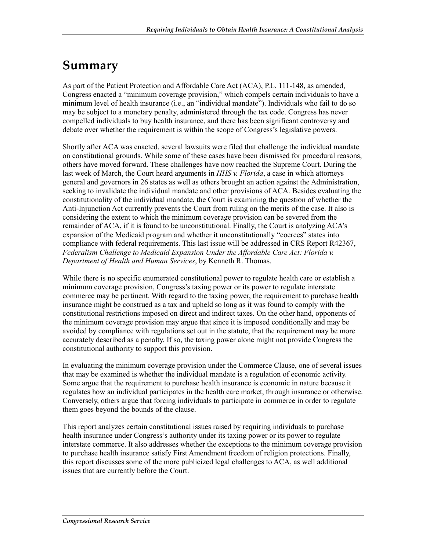## **Summary**

As part of the Patient Protection and Affordable Care Act (ACA), P.L. 111-148, as amended, Congress enacted a "minimum coverage provision," which compels certain individuals to have a minimum level of health insurance (i.e., an "individual mandate"). Individuals who fail to do so may be subject to a monetary penalty, administered through the tax code. Congress has never compelled individuals to buy health insurance, and there has been significant controversy and debate over whether the requirement is within the scope of Congress's legislative powers.

Shortly after ACA was enacted, several lawsuits were filed that challenge the individual mandate on constitutional grounds. While some of these cases have been dismissed for procedural reasons, others have moved forward. These challenges have now reached the Supreme Court. During the last week of March, the Court heard arguments in *HHS v. Florida*, a case in which attorneys general and governors in 26 states as well as others brought an action against the Administration, seeking to invalidate the individual mandate and other provisions of ACA. Besides evaluating the constitutionality of the individual mandate, the Court is examining the question of whether the Anti-Injunction Act currently prevents the Court from ruling on the merits of the case. It also is considering the extent to which the minimum coverage provision can be severed from the remainder of ACA, if it is found to be unconstitutional. Finally, the Court is analyzing ACA's expansion of the Medicaid program and whether it unconstitutionally "coerces" states into compliance with federal requirements. This last issue will be addressed in CRS Report R42367, *Federalism Challenge to Medicaid Expansion Under the Affordable Care Act: Florida v. Department of Health and Human Services*, by Kenneth R. Thomas.

While there is no specific enumerated constitutional power to regulate health care or establish a minimum coverage provision, Congress's taxing power or its power to regulate interstate commerce may be pertinent. With regard to the taxing power, the requirement to purchase health insurance might be construed as a tax and upheld so long as it was found to comply with the constitutional restrictions imposed on direct and indirect taxes. On the other hand, opponents of the minimum coverage provision may argue that since it is imposed conditionally and may be avoided by compliance with regulations set out in the statute, that the requirement may be more accurately described as a penalty. If so, the taxing power alone might not provide Congress the constitutional authority to support this provision.

In evaluating the minimum coverage provision under the Commerce Clause, one of several issues that may be examined is whether the individual mandate is a regulation of economic activity. Some argue that the requirement to purchase health insurance is economic in nature because it regulates how an individual participates in the health care market, through insurance or otherwise. Conversely, others argue that forcing individuals to participate in commerce in order to regulate them goes beyond the bounds of the clause.

This report analyzes certain constitutional issues raised by requiring individuals to purchase health insurance under Congress's authority under its taxing power or its power to regulate interstate commerce. It also addresses whether the exceptions to the minimum coverage provision to purchase health insurance satisfy First Amendment freedom of religion protections. Finally, this report discusses some of the more publicized legal challenges to ACA, as well additional issues that are currently before the Court.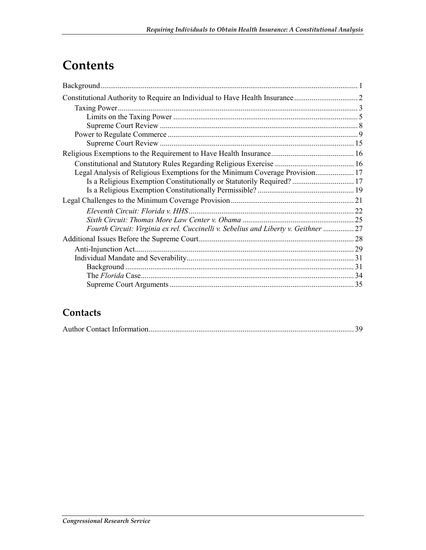## **Contents**

| Legal Analysis of Religious Exemptions for the Minimum Coverage Provision 17       |  |
|------------------------------------------------------------------------------------|--|
| Is a Religious Exemption Constitutionally or Statutorily Required?  17             |  |
|                                                                                    |  |
|                                                                                    |  |
|                                                                                    |  |
|                                                                                    |  |
| Fourth Circuit: Virginia ex rel. Cuccinelli v. Sebelius and Liberty v. Geithner 27 |  |
|                                                                                    |  |
|                                                                                    |  |
|                                                                                    |  |
|                                                                                    |  |
|                                                                                    |  |
|                                                                                    |  |

### **Contacts**

|--|--|--|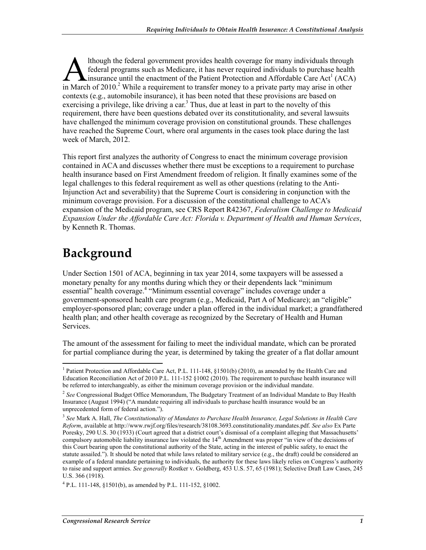lthough the federal government provides health coverage for many individuals through federal programs such as Medicare, it has never required individuals to purchase health insurance until the enactment of the Patient Protection and Affordable Care Act<sup>1</sup> (ACA) Ithough the federal government provides health coverage for many individuals through federal programs such as Medicare, it has never required individuals to purchase health insurance until the enactment of the Patient Prot contexts (e.g., automobile insurance), it has been noted that these provisions are based on exercising a privilege, like driving a car.<sup>3</sup> Thus, due at least in part to the novelty of this requirement, there have been questions debated over its constitutionality, and several lawsuits have challenged the minimum coverage provision on constitutional grounds. These challenges have reached the Supreme Court, where oral arguments in the cases took place during the last week of March, 2012.

This report first analyzes the authority of Congress to enact the minimum coverage provision contained in ACA and discusses whether there must be exceptions to a requirement to purchase health insurance based on First Amendment freedom of religion. It finally examines some of the legal challenges to this federal requirement as well as other questions (relating to the Anti-Injunction Act and severability) that the Supreme Court is considering in conjunction with the minimum coverage provision. For a discussion of the constitutional challenge to ACA's expansion of the Medicaid program, see CRS Report R42367, *Federalism Challenge to Medicaid Expansion Under the Affordable Care Act: Florida v. Department of Health and Human Services*, by Kenneth R. Thomas.

## **Background**

<u>.</u>

Under Section 1501 of ACA, beginning in tax year 2014, some taxpayers will be assessed a monetary penalty for any months during which they or their dependents lack "minimum essential" health coverage.<sup>4</sup> "Minimum essential coverage" includes coverage under a government-sponsored health care program (e.g., Medicaid, Part A of Medicare); an "eligible" employer-sponsored plan; coverage under a plan offered in the individual market; a grandfathered health plan; and other health coverage as recognized by the Secretary of Health and Human Services.

The amount of the assessment for failing to meet the individual mandate, which can be prorated for partial compliance during the year, is determined by taking the greater of a flat dollar amount

<sup>&</sup>lt;sup>1</sup> Patient Protection and Affordable Care Act, P.L. 111-148, §1501(b) (2010), as amended by the Health Care and Education Reconciliation Act of 2010 P.L. 111-152 §1002 (2010). The requirement to purchase health insurance will be referred to interchangeably, as either the minimum coverage provision or the individual mandate.

<sup>&</sup>lt;sup>2</sup> See Congressional Budget Office Memorandum, The Budgetary Treatment of an Individual Mandate to Buy Health Insurance (August 1994) ("A mandate requiring all individuals to purchase health insurance would be an unprecedented form of federal action.").

<sup>3</sup>  *See* Mark A. Hall, *The Constitutionality of Mandates to Purchase Health Insurance, Legal Solutions in Health Care Reform*, available at http://www.rwjf.org/files/research/38108.3693.constitutionality.mandates.pdf. *See also* Ex Parte Poresky, 290 U.S. 30 (1933) (Court agreed that a district court's dismissal of a complaint alleging that Massachusetts' compulsory automobile liability insurance law violated the 14<sup>th</sup> Amendment was proper "in view of the decisions of this Court bearing upon the constitutional authority of the State, acting in the interest of public safety, to enact the statute assailed."). It should be noted that while laws related to military service (e.g., the draft) could be considered an example of a federal mandate pertaining to individuals, the authority for these laws likely relies on Congress's authority to raise and support armies. *See generally* Rostker v. Goldberg, 453 U.S. 57, 65 (1981); Selective Draft Law Cases, 245 U.S. 366 (1918).

 $^{4}$  P.L. 111-148, §1501(b), as amended by P.L. 111-152, §1002.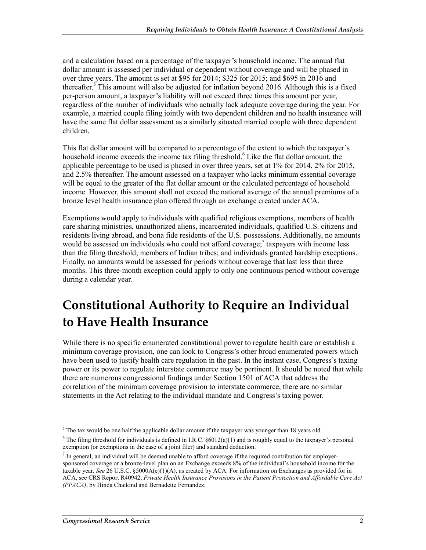and a calculation based on a percentage of the taxpayer's household income. The annual flat dollar amount is assessed per individual or dependent without coverage and will be phased in over three years. The amount is set at \$95 for 2014; \$325 for 2015; and \$695 in 2016 and thereafter.<sup>5</sup> This amount will also be adjusted for inflation beyond 2016. Although this is a fixed per-person amount, a taxpayer's liability will not exceed three times this amount per year, regardless of the number of individuals who actually lack adequate coverage during the year. For example, a married couple filing jointly with two dependent children and no health insurance will have the same flat dollar assessment as a similarly situated married couple with three dependent children.

This flat dollar amount will be compared to a percentage of the extent to which the taxpayer's household income exceeds the income tax filing threshold.<sup>6</sup> Like the flat dollar amount, the applicable percentage to be used is phased in over three years, set at 1% for 2014, 2% for 2015, and 2.5% thereafter. The amount assessed on a taxpayer who lacks minimum essential coverage will be equal to the greater of the flat dollar amount or the calculated percentage of household income. However, this amount shall not exceed the national average of the annual premiums of a bronze level health insurance plan offered through an exchange created under ACA.

Exemptions would apply to individuals with qualified religious exemptions, members of health care sharing ministries, unauthorized aliens, incarcerated individuals, qualified U.S. citizens and residents living abroad, and bona fide residents of the U.S. possessions. Additionally, no amounts would be assessed on individuals who could not afford coverage; $\frac{7}{1}$  taxpayers with income less than the filing threshold; members of Indian tribes; and individuals granted hardship exceptions. Finally, no amounts would be assessed for periods without coverage that last less than three months. This three-month exception could apply to only one continuous period without coverage during a calendar year.

## **Constitutional Authority to Require an Individual to Have Health Insurance**

While there is no specific enumerated constitutional power to regulate health care or establish a minimum coverage provision, one can look to Congress's other broad enumerated powers which have been used to justify health care regulation in the past. In the instant case, Congress's taxing power or its power to regulate interstate commerce may be pertinent. It should be noted that while there are numerous congressional findings under Section 1501 of ACA that address the correlation of the minimum coverage provision to interstate commerce, there are no similar statements in the Act relating to the individual mandate and Congress's taxing power.

 $<sup>5</sup>$  The tax would be one half the applicable dollar amount if the taxpayer was younger than 18 years old.</sup>

<sup>&</sup>lt;sup>6</sup> The filing threshold for individuals is defined in I.R.C.  $\S6012(a)(1)$  and is roughly equal to the taxpayer's personal exemption (or exemptions in the case of a joint filer) and standard deduction.

 $<sup>7</sup>$  In general, an individual will be deemed unable to afford coverage if the required contribution for employer-</sup> sponsored coverage or a bronze-level plan on an Exchange exceeds 8% of the individual's household income for the taxable year. *See* 26 U.S.C. §5000A(e)(1)(A), as created by ACA. For information on Exchanges as provided for in ACA, see CRS Report R40942, *Private Health Insurance Provisions in the Patient Protection and Affordable Care Act (PPACA)*, by Hinda Chaikind and Bernadette Fernandez.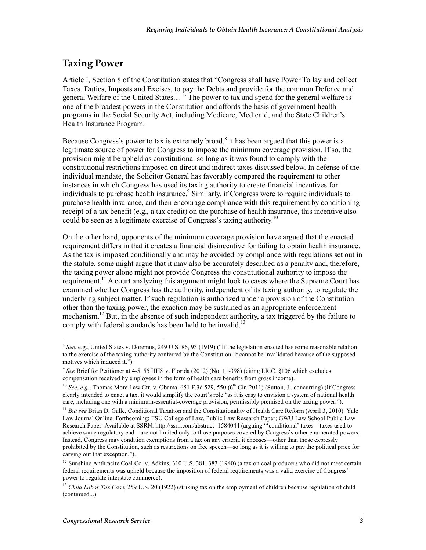### **Taxing Power**

Article I, Section 8 of the Constitution states that "Congress shall have Power To lay and collect Taxes, Duties, Imposts and Excises, to pay the Debts and provide for the common Defence and general Welfare of the United States.... " The power to tax and spend for the general welfare is one of the broadest powers in the Constitution and affords the basis of government health programs in the Social Security Act, including Medicare, Medicaid, and the State Children's Health Insurance Program.

Because Congress's power to tax is extremely broad, $8$  it has been argued that this power is a legitimate source of power for Congress to impose the minimum coverage provision. If so, the provision might be upheld as constitutional so long as it was found to comply with the constitutional restrictions imposed on direct and indirect taxes discussed below. In defense of the individual mandate, the Solicitor General has favorably compared the requirement to other instances in which Congress has used its taxing authority to create financial incentives for individuals to purchase health insurance.<sup>9</sup> Similarly, if Congress were to require individuals to purchase health insurance, and then encourage compliance with this requirement by conditioning receipt of a tax benefit (e.g., a tax credit) on the purchase of health insurance, this incentive also could be seen as a legitimate exercise of Congress's taxing authority.<sup>10</sup>

On the other hand, opponents of the minimum coverage provision have argued that the enacted requirement differs in that it creates a financial disincentive for failing to obtain health insurance. As the tax is imposed conditionally and may be avoided by compliance with regulations set out in the statute, some might argue that it may also be accurately described as a penalty and, therefore, the taxing power alone might not provide Congress the constitutional authority to impose the requirement.<sup>11</sup> A court analyzing this argument might look to cases where the Supreme Court has examined whether Congress has the authority, independent of its taxing authority, to regulate the underlying subject matter. If such regulation is authorized under a provision of the Constitution other than the taxing power, the exaction may be sustained as an appropriate enforcement mechanism.<sup>12</sup> But, in the absence of such independent authority, a tax triggered by the failure to comply with federal standards has been held to be invalid.<sup>13</sup>

<sup>&</sup>lt;u>.</u> <sup>8</sup> *See*, e.g., United States v. Doremus, 249 U.S. 86, 93 (1919) ("If the legislation enacted has some reasonable relation to the exercise of the taxing authority conferred by the Constitution, it cannot be invalidated because of the supposed motives which induced it.").

<sup>9</sup> *See* Brief for Petitioner at 4-5, 55 HHS v. Florida (2012) (No. 11-398) (citing I.R.C. §106 which excludes compensation received by employees in the form of health care benefits from gross income).

<sup>&</sup>lt;sup>10</sup> *See*, *e.g.*, Thomas More Law Ctr. v. Obama, 651 F.3d 529, 550 (6<sup>th</sup> Cir. 2011) (Sutton, J., concurring) (If Congress clearly intended to enact a tax, it would simplify the court's role "as it is easy to envision a system of national health care, including one with a minimum-essential-coverage provision, permissibly premised on the taxing power.").

<sup>11</sup> *But see* Brian D. Galle, Conditional Taxation and the Constitutionality of Health Care Reform (April 3, 2010). Yale Law Journal Online, Forthcoming; FSU College of Law, Public Law Research Paper; GWU Law School Public Law Research Paper. Available at SSRN: http://ssrn.com/abstract=1584044 (arguing "'conditional' taxes—taxes used to achieve some regulatory end—are not limited only to those purposes covered by Congress's other enumerated powers. Instead, Congress may condition exemptions from a tax on any criteria it chooses—other than those expressly prohibited by the Constitution, such as restrictions on free speech—so long as it is willing to pay the political price for carving out that exception.").

<sup>&</sup>lt;sup>12</sup> Sunshine Anthracite Coal Co. v. Adkins, 310 U.S. 381, 383 (1940) (a tax on coal producers who did not meet certain federal requirements was upheld because the imposition of federal requirements was a valid exercise of Congress' power to regulate interstate commerce).

<sup>&</sup>lt;sup>13</sup> *Child Labor Tax Case,* 259 U.S. 20 (1922) (striking tax on the employment of children because regulation of child (continued...)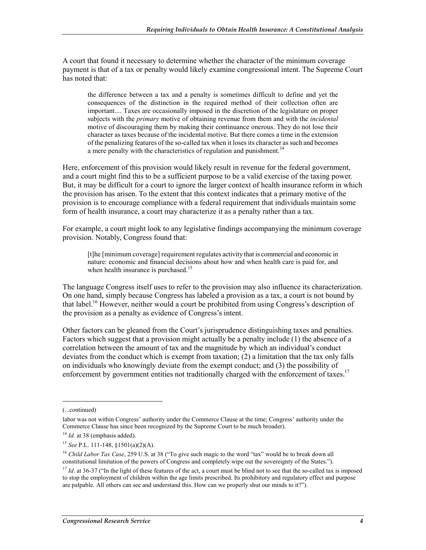A court that found it necessary to determine whether the character of the minimum coverage payment is that of a tax or penalty would likely examine congressional intent. The Supreme Court has noted that:

the difference between a tax and a penalty is sometimes difficult to define and yet the consequences of the distinction in the required method of their collection often are important.... Taxes are occasionally imposed in the discretion of the legislature on proper subjects with the *primary* motive of obtaining revenue from them and with the *incidental* motive of discouraging them by making their continuance onerous. They do not lose their character as taxes because of the incidental motive. But there comes a time in the extension of the penalizing features of the so-called tax when it loses its character as such and becomes a mere penalty with the characteristics of regulation and punishment.<sup>14</sup>

Here, enforcement of this provision would likely result in revenue for the federal government, and a court might find this to be a sufficient purpose to be a valid exercise of the taxing power. But, it may be difficult for a court to ignore the larger context of health insurance reform in which the provision has arisen. To the extent that this context indicates that a primary motive of the provision is to encourage compliance with a federal requirement that individuals maintain some form of health insurance, a court may characterize it as a penalty rather than a tax.

For example, a court might look to any legislative findings accompanying the minimum coverage provision. Notably, Congress found that:

[t]he [minimum coverage] requirement regulates activity that is commercial and economic in nature: economic and financial decisions about how and when health care is paid for, and when health insurance is purchased.<sup>15</sup>

The language Congress itself uses to refer to the provision may also influence its characterization. On one hand, simply because Congress has labeled a provision as a tax, a court is not bound by that label.16 However, neither would a court be prohibited from using Congress's description of the provision as a penalty as evidence of Congress's intent.

Other factors can be gleaned from the Court's jurisprudence distinguishing taxes and penalties. Factors which suggest that a provision might actually be a penalty include (1) the absence of a correlation between the amount of tax and the magnitude by which an individual's conduct deviates from the conduct which is exempt from taxation; (2) a limitation that the tax only falls on individuals who knowingly deviate from the exempt conduct; and (3) the possibility of enforcement by government entities not traditionally charged with the enforcement of taxes.<sup>17</sup>

<sup>(...</sup>continued)

labor was not within Congress' authority under the Commerce Clause at the time; Congress' authority under the Commerce Clause has since been recognized by the Supreme Court to be much broader).

<sup>&</sup>lt;sup>14</sup> *Id.* at 38 (emphasis added).

<sup>15</sup> *See* P.L. 111-148, §1501(a)(2)(A).

<sup>&</sup>lt;sup>16</sup> *Child Labor Tax Case*, 259 U.S. at 38 ("To give such magic to the word "tax" would be to break down all constitutional limitation of the powers of Congress and completely wipe out the sovereignty of the States.").

<sup>&</sup>lt;sup>17</sup> *Id.* at 36-37 ("In the light of these features of the act, a court must be blind not to see that the so-called tax is imposed to stop the employment of children within the age limits prescribed. Its prohibitory and regulatory effect and purpose are palpable. All others can see and understand this. How can we properly shut our minds to it?").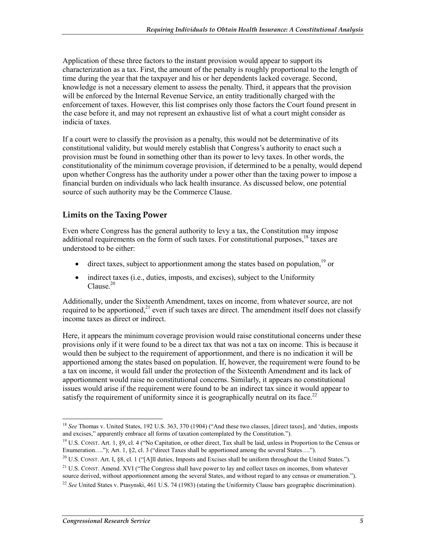Application of these three factors to the instant provision would appear to support its characterization as a tax. First, the amount of the penalty is roughly proportional to the length of time during the year that the taxpayer and his or her dependents lacked coverage. Second, knowledge is not a necessary element to assess the penalty. Third, it appears that the provision will be enforced by the Internal Revenue Service, an entity traditionally charged with the enforcement of taxes. However, this list comprises only those factors the Court found present in the case before it, and may not represent an exhaustive list of what a court might consider as indicia of taxes.

If a court were to classify the provision as a penalty, this would not be determinative of its constitutional validity, but would merely establish that Congress's authority to enact such a provision must be found in something other than its power to levy taxes. In other words, the constitutionality of the minimum coverage provision, if determined to be a penalty, would depend upon whether Congress has the authority under a power other than the taxing power to impose a financial burden on individuals who lack health insurance. As discussed below, one potential source of such authority may be the Commerce Clause.

#### **Limits on the Taxing Power**

Even where Congress has the general authority to levy a tax, the Constitution may impose additional requirements on the form of such taxes. For constitutional purposes,  $18$  taxes are understood to be either:

- direct taxes, subject to apportionment among the states based on population,  $19$  or
- indirect taxes (i.e., duties, imposts, and excises), subject to the Uniformity Clause. $20$

Additionally, under the Sixteenth Amendment, taxes on income, from whatever source, are not required to be apportioned,<sup>21</sup> even if such taxes are direct. The amendment itself does not classify income taxes as direct or indirect.

Here, it appears the minimum coverage provision would raise constitutional concerns under these provisions only if it were found to be a direct tax that was not a tax on income. This is because it would then be subject to the requirement of apportionment, and there is no indication it will be apportioned among the states based on population. If, however, the requirement were found to be a tax on income, it would fall under the protection of the Sixteenth Amendment and its lack of apportionment would raise no constitutional concerns. Similarly, it appears no constitutional issues would arise if the requirement were found to be an indirect tax since it would appear to satisfy the requirement of uniformity since it is geographically neutral on its face.<sup>22</sup>

<sup>&</sup>lt;sup>18</sup> See Thomas v. United States, 192 U.S. 363, 370 (1904) ("And these two classes, [direct taxes], and 'duties, imposts and excises," apparently embrace all forms of taxation contemplated by the Constitution.").

<sup>&</sup>lt;sup>19</sup> U.S. CONST. Art. 1, §9, cl. 4 ("No Capitation, or other direct, Tax shall be laid, unless in Proportion to the Census or Enumeration…."); Art. 1, §2, cl. 3 ("direct Taxes shall be apportioned among the several States….").

<sup>&</sup>lt;sup>20</sup> U.S. CONST. Art. I, §8, cl. 1 ("[A]ll duties, Imposts and Excises shall be uniform throughout the United States.").

<sup>&</sup>lt;sup>21</sup> U.S. CONST. Amend. XVI ("The Congress shall have power to lay and collect taxes on incomes, from whatever source derived, without apportionment among the several States, and without regard to any census or enumeration.").

<sup>&</sup>lt;sup>22</sup> See United States v. Ptasynski, 461 U.S. 74 (1983) (stating the Uniformity Clause bars geographic discrimination).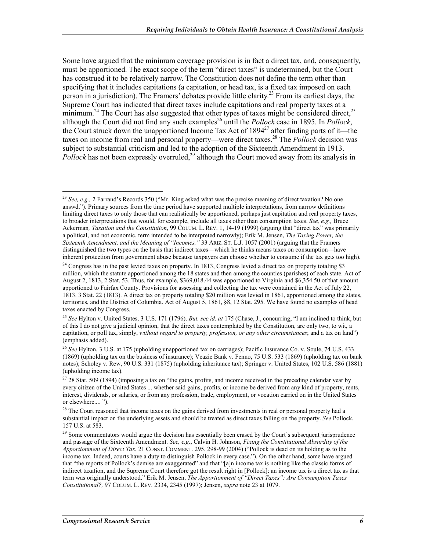Some have argued that the minimum coverage provision is in fact a direct tax, and, consequently, must be apportioned. The exact scope of the term "direct taxes" is undetermined, but the Court has construed it to be relatively narrow. The Constitution does not define the term other than specifying that it includes capitations (a capitation, or head tax, is a fixed tax imposed on each person in a jurisdiction). The Framers' debates provide little clarity.<sup>23</sup> From its earliest days, the Supreme Court has indicated that direct taxes include capitations and real property taxes at a minimum.<sup>24</sup> The Court has also suggested that other types of taxes might be considered direct.<sup>25</sup> although the Court did not find any such examples<sup>26</sup> until the *Pollock* case in 1895. In *Pollock*, the Court struck down the unapportioned Income Tax Act of  $1894^{27}$  after finding parts of it—the taxes on income from real and personal property—were direct taxes.28 The *Pollock* decision was subject to substantial criticism and led to the adoption of the Sixteenth Amendment in 1913. *Pollock* has not been expressly overruled,<sup>29</sup> although the Court moved away from its analysis in

<u>.</u>

<sup>&</sup>lt;sup>23</sup> *See, e.g.,* 2 Farrand's Records 350 ("Mr. King asked what was the precise meaning of direct taxation? No one answd."). Primary sources from the time period have supported multiple interpretations, from narrow definitions limiting direct taxes to only those that can realistically be apportioned, perhaps just capitation and real property taxes, to broader interpretations that would, for example, include all taxes other than consumption taxes. *See, e.g.,* Bruce Ackerman*, Taxation and the Constitution*, 99 COLUM. L. REV. 1, 14-19 (1999) (arguing that "direct tax" was primarily a political, and not economic, term intended to be interpreted narrowly); Erik M. Jensen, *The Taxing Power, the Sixteenth Amendment, and the Meaning of "Incomes,"* 33 ARIZ. ST. L.J. 1057 (2001) (arguing that the Framers distinguished the two types on the basis that indirect taxes—which he thinks means taxes on consumption—have inherent protection from government abuse because taxpayers can choose whether to consume if the tax gets too high).

 $24$  Congress has in the past levied taxes on property. In 1813, Congress levied a direct tax on property totaling \$3 million, which the statute apportioned among the 18 states and then among the counties (parishes) of each state. Act of August 2, 1813, 2 Stat. 53. Thus, for example, \$369,018.44 was apportioned to Virginia and \$6,354.50 of that amount apportioned to Fairfax County. Provisions for assessing and collecting the tax were contained in the Act of July 22, 1813. 3 Stat. 22 (1813). A direct tax on property totaling \$20 million was levied in 1861, apportioned among the states, territories, and the District of Columbia. Act of August 5, 1861, §8, 12 Stat. 295. We have found no examples of head taxes enacted by Congress.

<sup>25</sup> *See* Hylton v. United States, 3 U.S. 171 (1796). *But, see id. at* 175 (Chase, J., concurring, "I am inclined to think, but of this I do not give a judicial opinion, that the direct taxes contemplated by the Constitution, are only two, to wit, a capitation, or poll tax, simply, *without regard to property, profession, or any other circumstances*; and a tax on land") (emphasis added).

<sup>26</sup> *See* Hylton, 3 U.S. at 175 (upholding unapportioned tax on carriages); Pacific Insurance Co. v. Soule, 74 U.S. 433 (1869) (upholding tax on the business of insurance); Veazie Bank v. Fenno, 75 U.S. 533 (1869) (upholding tax on bank notes); Scholey v. Rew, 90 U.S. 331 (1875) (upholding inheritance tax); Springer v. United States, 102 U.S. 586 (1881) (upholding income tax).

<sup>&</sup>lt;sup>27</sup> 28 Stat. 509 (1894) (imposing a tax on "the gains, profits, and income received in the preceding calendar year by every citizen of the United States ... whether said gains, profits, or income be derived from any kind of property, rents, interest, dividends, or salaries, or from any profession, trade, employment, or vocation carried on in the United States or elsewhere.... ").

 $28$  The Court reasoned that income taxes on the gains derived from investments in real or personal property had a substantial impact on the underlying assets and should be treated as direct taxes falling on the property. *See* Pollock, 157 U.S. at 583.

<sup>&</sup>lt;sup>29</sup> Some commentators would argue the decision has essentially been erased by the Court's subsequent jurisprudence and passage of the Sixteenth Amendment. *See, e.g.*, Calvin H. Johnson, *Fixing the Constitutional Absurdity of the Apportionment of Direct Tax*, 21 CONST. COMMENT. 295, 298-99 (2004) ("Pollock is dead on its holding as to the income tax. Indeed, courts have a duty to distinguish Pollock in every case."). On the other hand, some have argued that "the reports of Pollock's demise are exaggerated" and that "[a]n income tax is nothing like the classic forms of indirect taxation, and the Supreme Court therefore got the result right in [Pollock]: an income tax is a direct tax as that term was originally understood." Erik M. Jensen, *The Apportionment of "Direct Taxes": Are Consumption Taxes Constitutional?,* 97 COLUM. L. REV. 2334, 2345 (1997); Jensen, *supra* note 23 at 1079.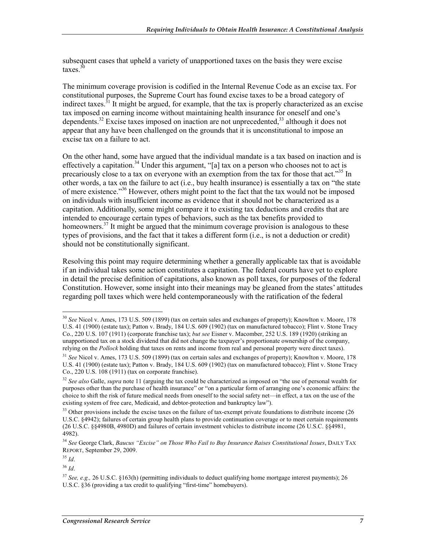subsequent cases that upheld a variety of unapportioned taxes on the basis they were excise taxes. $30$ 

The minimum coverage provision is codified in the Internal Revenue Code as an excise tax. For constitutional purposes, the Supreme Court has found excise taxes to be a broad category of indirect taxes.<sup>31</sup> It might be argued, for example, that the tax is properly characterized as an excise tax imposed on earning income without maintaining health insurance for oneself and one's dependents.<sup>32</sup> Excise taxes imposed on inaction are not unprecedented,<sup>33</sup> although it does not appear that any have been challenged on the grounds that it is unconstitutional to impose an excise tax on a failure to act.

On the other hand, some have argued that the individual mandate is a tax based on inaction and is effectively a capitation.<sup>34</sup> Under this argument, "[a] tax on a person who chooses not to act is precariously close to a tax on everyone with an exemption from the tax for those that act."<sup>35</sup> In other words, a tax on the failure to act (i.e., buy health insurance) is essentially a tax on "the state of mere existence."<sup>36</sup> However, others might point to the fact that the tax would not be imposed on individuals with insufficient income as evidence that it should not be characterized as a capitation. Additionally, some might compare it to existing tax deductions and credits that are intended to encourage certain types of behaviors, such as the tax benefits provided to homeowners.<sup>37</sup> It might be argued that the minimum coverage provision is analogous to these types of provisions, and the fact that it takes a different form (i.e., is not a deduction or credit) should not be constitutionally significant.

Resolving this point may require determining whether a generally applicable tax that is avoidable if an individual takes some action constitutes a capitation. The federal courts have yet to explore in detail the precise definition of capitations, also known as poll taxes, for purposes of the federal Constitution. However, some insight into their meanings may be gleaned from the states' attitudes regarding poll taxes which were held contemporaneously with the ratification of the federal

<sup>30</sup> *See* Nicol v. Ames, 173 U.S. 509 (1899) (tax on certain sales and exchanges of property); Knowlton v. Moore, 178 U.S. 41 (1900) (estate tax); Patton v. Brady, 184 U.S. 609 (1902) (tax on manufactured tobacco); Flint v. Stone Tracy Co., 220 U.S. 107 (1911) (corporate franchise tax); *but see* Eisner v. Macomber, 252 U.S. 189 (1920) (striking an unapportioned tax on a stock dividend that did not change the taxpayer's proportionate ownership of the company, relying on the *Pollock* holding that taxes on rents and income from real and personal property were direct taxes).

<sup>31</sup> *See* Nicol v. Ames, 173 U.S. 509 (1899) (tax on certain sales and exchanges of property); Knowlton v. Moore, 178 U.S. 41 (1900) (estate tax); Patton v. Brady, 184 U.S. 609 (1902) (tax on manufactured tobacco); Flint v. Stone Tracy Co., 220 U.S. 108 (1911) (tax on corporate franchise).

<sup>&</sup>lt;sup>32</sup> See also Galle, *supra* note 11 (arguing the tax could be characterized as imposed on "the use of personal wealth for purposes other than the purchase of health insurance" or "on a particular form of arranging one's economic affairs: the choice to shift the risk of future medical needs from oneself to the social safety net—in effect, a tax on the use of the existing system of free care, Medicaid, and debtor-protection and bankruptcy law").

 $33$  Other provisions include the excise taxes on the failure of tax-exempt private foundations to distribute income (26) U.S.C. §4942); failures of certain group health plans to provide continuation coverage or to meet certain requirements (26 U.S.C. §§4980B, 4980D) and failures of certain investment vehicles to distribute income (26 U.S.C. §§4981, 4982).

<sup>34</sup> *See* George Clark, *Baucus "Excise" on Those Who Fail to Buy Insurance Raises Constitutional Issues*, DAILY TAX REPORT, September 29, 2009.

<sup>35</sup> *Id*.

<sup>36</sup> *Id*.

<sup>37</sup> *See, e.g.,* 26 U.S.C. §163(h) (permitting individuals to deduct qualifying home mortgage interest payments); 26 U.S.C. §36 (providing a tax credit to qualifying "first-time" homebuyers).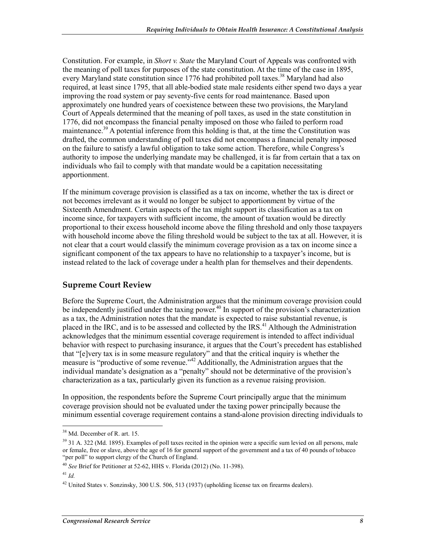Constitution. For example, in *Short v. State* the Maryland Court of Appeals was confronted with the meaning of poll taxes for purposes of the state constitution. At the time of the case in 1895, every Maryland state constitution since 1776 had prohibited poll taxes.<sup>38</sup> Maryland had also required, at least since 1795, that all able-bodied state male residents either spend two days a year improving the road system or pay seventy-five cents for road maintenance. Based upon approximately one hundred years of coexistence between these two provisions, the Maryland Court of Appeals determined that the meaning of poll taxes, as used in the state constitution in 1776, did not encompass the financial penalty imposed on those who failed to perform road maintenance.<sup>39</sup> A potential inference from this holding is that, at the time the Constitution was drafted, the common understanding of poll taxes did not encompass a financial penalty imposed on the failure to satisfy a lawful obligation to take some action. Therefore, while Congress's authority to impose the underlying mandate may be challenged, it is far from certain that a tax on individuals who fail to comply with that mandate would be a capitation necessitating apportionment.

If the minimum coverage provision is classified as a tax on income, whether the tax is direct or not becomes irrelevant as it would no longer be subject to apportionment by virtue of the Sixteenth Amendment. Certain aspects of the tax might support its classification as a tax on income since, for taxpayers with sufficient income, the amount of taxation would be directly proportional to their excess household income above the filing threshold and only those taxpayers with household income above the filing threshold would be subject to the tax at all. However, it is not clear that a court would classify the minimum coverage provision as a tax on income since a significant component of the tax appears to have no relationship to a taxpayer's income, but is instead related to the lack of coverage under a health plan for themselves and their dependents.

#### **Supreme Court Review**

Before the Supreme Court, the Administration argues that the minimum coverage provision could be independently justified under the taxing power.<sup>40</sup> In support of the provision's characterization as a tax, the Administration notes that the mandate is expected to raise substantial revenue, is placed in the IRC, and is to be assessed and collected by the IRS.<sup>41</sup> Although the Administration acknowledges that the minimum essential coverage requirement is intended to affect individual behavior with respect to purchasing insurance, it argues that the Court's precedent has established that "[e]very tax is in some measure regulatory" and that the critical inquiry is whether the measure is "productive of some revenue."<sup>42</sup> Additionally, the Administration argues that the individual mandate's designation as a "penalty" should not be determinative of the provision's characterization as a tax, particularly given its function as a revenue raising provision.

In opposition, the respondents before the Supreme Court principally argue that the minimum coverage provision should not be evaluated under the taxing power principally because the minimum essential coverage requirement contains a stand-alone provision directing individuals to

<sup>38</sup> Md. December of R. art. 15.

<sup>&</sup>lt;sup>39</sup> 31 A. 322 (Md. 1895). Examples of poll taxes recited in the opinion were a specific sum levied on all persons, male or female, free or slave, above the age of 16 for general support of the government and a tax of 40 pounds of tobacco "per poll" to support clergy of the Church of England.

<sup>40</sup> *See* Brief for Petitioner at 52-62, HHS v. Florida (2012) (No. 11-398).

 $^{41}$  *Id.* 

<sup>42</sup> United States v. Sonzinsky, 300 U.S. 506, 513 (1937) (upholding license tax on firearms dealers).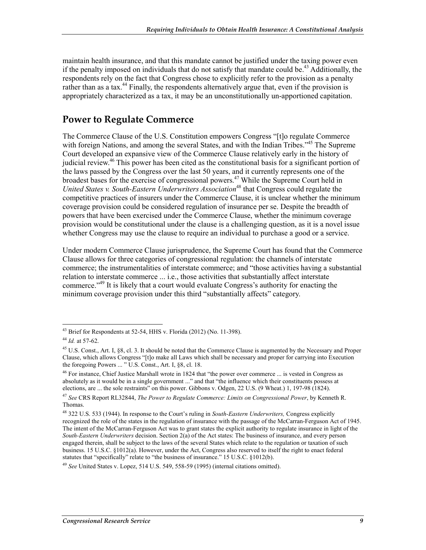maintain health insurance, and that this mandate cannot be justified under the taxing power even if the penalty imposed on individuals that do not satisfy that mandate could be.<sup>43</sup> Additionally, the respondents rely on the fact that Congress chose to explicitly refer to the provision as a penalty rather than as a tax.<sup>44</sup> Finally, the respondents alternatively argue that, even if the provision is appropriately characterized as a tax, it may be an unconstitutionally un-apportioned capitation.

### **Power to Regulate Commerce**

The Commerce Clause of the U.S. Constitution empowers Congress "[t]o regulate Commerce with foreign Nations, and among the several States, and with the Indian Tribes."<sup>45</sup> The Supreme Court developed an expansive view of the Commerce Clause relatively early in the history of judicial review.46 This power has been cited as the constitutional basis for a significant portion of the laws passed by the Congress over the last 50 years, and it currently represents one of the broadest bases for the exercise of congressional powers.<sup>47</sup> While the Supreme Court held in United States v. South-Eastern Underwriters Association<sup>48</sup> that Congress could regulate the competitive practices of insurers under the Commerce Clause, it is unclear whether the minimum coverage provision could be considered regulation of insurance per se. Despite the breadth of powers that have been exercised under the Commerce Clause, whether the minimum coverage provision would be constitutional under the clause is a challenging question, as it is a novel issue whether Congress may use the clause to require an individual to purchase a good or a service.

Under modern Commerce Clause jurisprudence, the Supreme Court has found that the Commerce Clause allows for three categories of congressional regulation: the channels of interstate commerce; the instrumentalities of interstate commerce; and "those activities having a substantial relation to interstate commerce ... i.e., those activities that substantially affect interstate commerce."49 It is likely that a court would evaluate Congress's authority for enacting the minimum coverage provision under this third "substantially affects" category.

<sup>43</sup> Brief for Respondents at 52-54, HHS v. Florida (2012) (No. 11-398).

<sup>44</sup> *Id.* at 57-62.

<sup>&</sup>lt;sup>45</sup> U.S. Const., Art. I, §8, cl. 3. It should be noted that the Commerce Clause is augmented by the Necessary and Proper Clause, which allows Congress "[t]o make all Laws which shall be necessary and proper for carrying into Execution the foregoing Powers ... " U.S. Const., Art. I, §8, cl. 18.

<sup>&</sup>lt;sup>46</sup> For instance, Chief Justice Marshall wrote in 1824 that "the power over commerce ... is vested in Congress as absolutely as it would be in a single government ..." and that "the influence which their constituents possess at elections, are ... the sole restraints" on this power. Gibbons v. Odgen, 22 U.S. (9 Wheat.) 1, 197-98 (1824).

<sup>47</sup> *See* CRS Report RL32844, *The Power to Regulate Commerce: Limits on Congressional Power*, by Kenneth R. Thomas.

<sup>48 322</sup> U.S. 533 (1944). In response to the Court's ruling in *South-Eastern Underwriters,* Congress explicitly recognized the role of the states in the regulation of insurance with the passage of the McCarran-Ferguson Act of 1945. The intent of the McCarran-Ferguson Act was to grant states the explicit authority to regulate insurance in light of the *South-Eastern Underwriters* decision. Section 2(a) of the Act states: The business of insurance, and every person engaged therein, shall be subject to the laws of the several States which relate to the regulation or taxation of such business. 15 U.S.C. §1012(a). However, under the Act, Congress also reserved to itself the right to enact federal statutes that "specifically" relate to "the business of insurance." 15 U.S.C. §1012(b).

<sup>49</sup> *See* United States v. Lopez, 514 U.S. 549, 558-59 (1995) (internal citations omitted).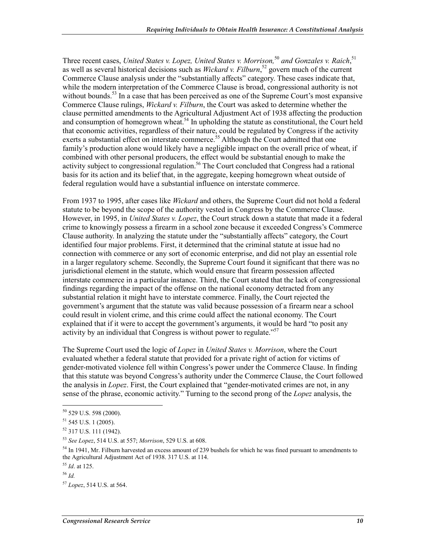Three recent cases, *United States v. Lopez, United States v. Morrison*,<sup>50</sup> and Gonzales v. Raich,<sup>51</sup> as well as several historical decisions such as *Wickard v. Filburn*, 52 govern much of the current Commerce Clause analysis under the "substantially affects" category. These cases indicate that, while the modern interpretation of the Commerce Clause is broad, congressional authority is not without bounds.<sup>53</sup> In a case that has been perceived as one of the Supreme Court's most expansive Commerce Clause rulings, *Wickard v. Filburn*, the Court was asked to determine whether the clause permitted amendments to the Agricultural Adjustment Act of 1938 affecting the production and consumption of homegrown wheat.<sup>54</sup> In upholding the statute as constitutional, the Court held that economic activities, regardless of their nature, could be regulated by Congress if the activity exerts a substantial effect on interstate commerce.<sup>55</sup> Although the Court admitted that one family's production alone would likely have a negligible impact on the overall price of wheat, if combined with other personal producers, the effect would be substantial enough to make the activity subject to congressional regulation.<sup>56</sup> The Court concluded that Congress had a rational basis for its action and its belief that, in the aggregate, keeping homegrown wheat outside of federal regulation would have a substantial influence on interstate commerce.

From 1937 to 1995, after cases like *Wickard* and others, the Supreme Court did not hold a federal statute to be beyond the scope of the authority vested in Congress by the Commerce Clause. However, in 1995, in *United States v. Lopez*, the Court struck down a statute that made it a federal crime to knowingly possess a firearm in a school zone because it exceeded Congress's Commerce Clause authority. In analyzing the statute under the "substantially affects" category, the Court identified four major problems. First, it determined that the criminal statute at issue had no connection with commerce or any sort of economic enterprise, and did not play an essential role in a larger regulatory scheme. Secondly, the Supreme Court found it significant that there was no jurisdictional element in the statute, which would ensure that firearm possession affected interstate commerce in a particular instance. Third, the Court stated that the lack of congressional findings regarding the impact of the offense on the national economy detracted from any substantial relation it might have to interstate commerce. Finally, the Court rejected the government's argument that the statute was valid because possession of a firearm near a school could result in violent crime, and this crime could affect the national economy. The Court explained that if it were to accept the government's arguments, it would be hard "to posit any activity by an individual that Congress is without power to regulate.<sup>557</sup>

The Supreme Court used the logic of *Lopez* in *United States v. Morrison*, where the Court evaluated whether a federal statute that provided for a private right of action for victims of gender-motivated violence fell within Congress's power under the Commerce Clause. In finding that this statute was beyond Congress's authority under the Commerce Clause, the Court followed the analysis in *Lopez*. First, the Court explained that "gender-motivated crimes are not, in any sense of the phrase, economic activity." Turning to the second prong of the *Lopez* analysis, the

<sup>1</sup>  $50$  529 U.S. 598 (2000).

 $51$  545 U.S. 1 (2005).

<sup>52 317</sup> U.S. 111 (1942).

<sup>53</sup> *See Lopez*, 514 U.S. at 557; *Morrison*, 529 U.S. at 608.

 $54$  In 1941, Mr. Filburn harvested an excess amount of 239 bushels for which he was fined pursuant to amendments to the Agricultural Adjustment Act of 1938. 317 U.S. at 114.

<sup>55</sup> *Id*. at 125.

<sup>56</sup> *Id.*

<sup>57</sup> *Lopez*, 514 U.S. at 564.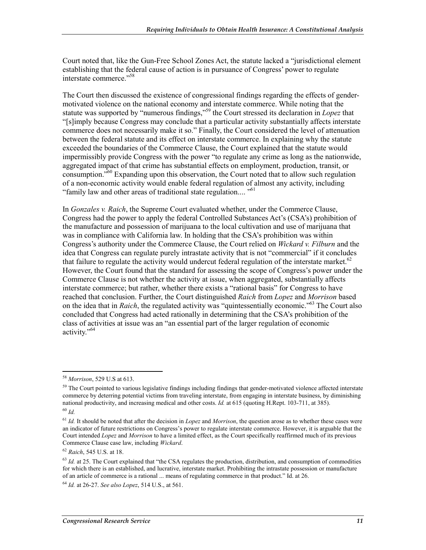Court noted that, like the Gun-Free School Zones Act, the statute lacked a "jurisdictional element establishing that the federal cause of action is in pursuance of Congress' power to regulate interstate commerce<sup>"58</sup>

The Court then discussed the existence of congressional findings regarding the effects of gendermotivated violence on the national economy and interstate commerce. While noting that the statute was supported by "numerous findings,"59 the Court stressed its declaration in *Lopez* that "[s]imply because Congress may conclude that a particular activity substantially affects interstate commerce does not necessarily make it so." Finally, the Court considered the level of attenuation between the federal statute and its effect on interstate commerce. In explaining why the statute exceeded the boundaries of the Commerce Clause, the Court explained that the statute would impermissibly provide Congress with the power "to regulate any crime as long as the nationwide, aggregated impact of that crime has substantial effects on employment, production, transit, or consumption."<sup>60</sup> Expanding upon this observation, the Court noted that to allow such regulation of a non-economic activity would enable federal regulation of almost any activity, including "family law and other areas of traditional state regulation.... "61

In *Gonzales v. Raich*, the Supreme Court evaluated whether, under the Commerce Clause, Congress had the power to apply the federal Controlled Substances Act's (CSA's) prohibition of the manufacture and possession of marijuana to the local cultivation and use of marijuana that was in compliance with California law. In holding that the CSA's prohibition was within Congress's authority under the Commerce Clause, the Court relied on *Wickard v. Filburn* and the idea that Congress can regulate purely intrastate activity that is not "commercial" if it concludes that failure to regulate the activity would undercut federal regulation of the interstate market.<sup>62</sup> However, the Court found that the standard for assessing the scope of Congress's power under the Commerce Clause is not whether the activity at issue, when aggregated, substantially affects interstate commerce; but rather, whether there exists a "rational basis" for Congress to have reached that conclusion. Further, the Court distinguished *Raich* from *Lopez* and *Morrison* based on the idea that in *Raich*, the regulated activity was "quintessentially economic."63 The Court also concluded that Congress had acted rationally in determining that the CSA's prohibition of the class of activities at issue was an "an essential part of the larger regulation of economic activity."<sup>64</sup>

<u>.</u>

<sup>58</sup> *Morrison*, 529 U.S at 613.

<sup>&</sup>lt;sup>59</sup> The Court pointed to various legislative findings including findings that gender-motivated violence affected interstate commerce by deterring potential victims from traveling interstate, from engaging in interstate business, by diminishing national productivity, and increasing medical and other costs. *Id.* at 615 (quoting H.Rept. 103-711, at 385). <sup>60</sup> *Id.*

<sup>61</sup> *Id.* It should be noted that after the decision in *Lopez* and *Morrison*, the question arose as to whether these cases were an indicator of future restrictions on Congress's power to regulate interstate commerce. However, it is arguable that the Court intended *Lopez* and *Morrison* to have a limited effect, as the Court specifically reaffirmed much of its previous Commerce Clause case law, including *Wickard*.

<sup>62</sup> *Raich*, 545 U.S. at 18.

<sup>&</sup>lt;sup>63</sup> *Id.* at 25. The Court explained that "the CSA regulates the production, distribution, and consumption of commodities for which there is an established, and lucrative, interstate market. Prohibiting the intrastate possession or manufacture of an article of commerce is a rational ... means of regulating commerce in that product." Id. at 26.

<sup>64</sup> *Id.* at 26-27. *See also Lopez*, 514 U.S., at 561.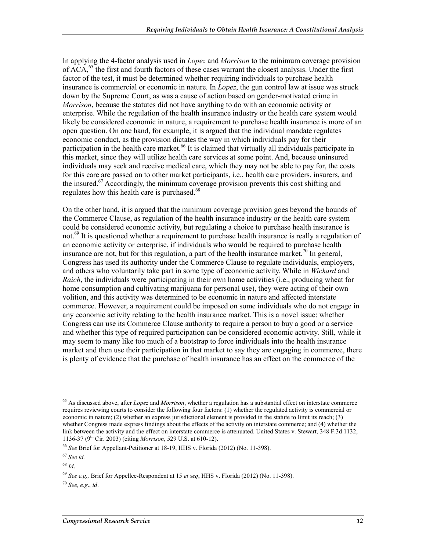In applying the 4-factor analysis used in *Lopez* and *Morrison* to the minimum coverage provision of  $\widehat{ACA}$ ,<sup>65</sup> the first and fourth factors of these cases warrant the closest analysis. Under the first factor of the test, it must be determined whether requiring individuals to purchase health insurance is commercial or economic in nature. In *Lopez*, the gun control law at issue was struck down by the Supreme Court, as was a cause of action based on gender-motivated crime in *Morrison*, because the statutes did not have anything to do with an economic activity or enterprise. While the regulation of the health insurance industry or the health care system would likely be considered economic in nature, a requirement to purchase health insurance is more of an open question. On one hand, for example, it is argued that the individual mandate regulates economic conduct, as the provision dictates the way in which individuals pay for their participation in the health care market.<sup>66</sup> It is claimed that virtually all individuals participate in this market, since they will utilize health care services at some point. And, because uninsured individuals may seek and receive medical care, which they may not be able to pay for, the costs for this care are passed on to other market participants, i.e., health care providers, insurers, and the insured.<sup>67</sup> Accordingly, the minimum coverage provision prevents this cost shifting and regulates how this health care is purchased.<sup>68</sup>

On the other hand, it is argued that the minimum coverage provision goes beyond the bounds of the Commerce Clause, as regulation of the health insurance industry or the health care system could be considered economic activity, but regulating a choice to purchase health insurance is not.<sup>69</sup> It is questioned whether a requirement to purchase health insurance is really a regulation of an economic activity or enterprise, if individuals who would be required to purchase health insurance are not, but for this regulation, a part of the health insurance market.<sup>70</sup> In general, Congress has used its authority under the Commerce Clause to regulate individuals, employers, and others who voluntarily take part in some type of economic activity. While in *Wickard* and *Raich*, the individuals were participating in their own home activities (i.e., producing wheat for home consumption and cultivating marijuana for personal use), they were acting of their own volition, and this activity was determined to be economic in nature and affected interstate commerce. However, a requirement could be imposed on some individuals who do not engage in any economic activity relating to the health insurance market. This is a novel issue: whether Congress can use its Commerce Clause authority to require a person to buy a good or a service and whether this type of required participation can be considered economic activity. Still, while it may seem to many like too much of a bootstrap to force individuals into the health insurance market and then use their participation in that market to say they are engaging in commerce, there is plenty of evidence that the purchase of health insurance has an effect on the commerce of the

<u>.</u>

<sup>65</sup> As discussed above, after *Lopez* and *Morrison*, whether a regulation has a substantial effect on interstate commerce requires reviewing courts to consider the following four factors: (1) whether the regulated activity is commercial or economic in nature; (2) whether an express jurisdictional element is provided in the statute to limit its reach; (3) whether Congress made express findings about the effects of the activity on interstate commerce; and (4) whether the link between the activity and the effect on interstate commerce is attenuated. United States v. Stewart, 348 F.3d 1132, 1136-37 (9th Cir. 2003) (citing *Morrison*, 529 U.S. at 610-12).

<sup>66</sup> *See* Brief for Appellant-Petitioner at 18-19, HHS v. Florida (2012) (No. 11-398).

<sup>67</sup> *See id.*

<sup>68</sup> *Id*.

<sup>69</sup> *See e.g.,* Brief for Appellee-Respondent at 15 *et seq*, HHS v. Florida (2012) (No. 11-398).

<sup>70</sup> *See, e.g*., *id*.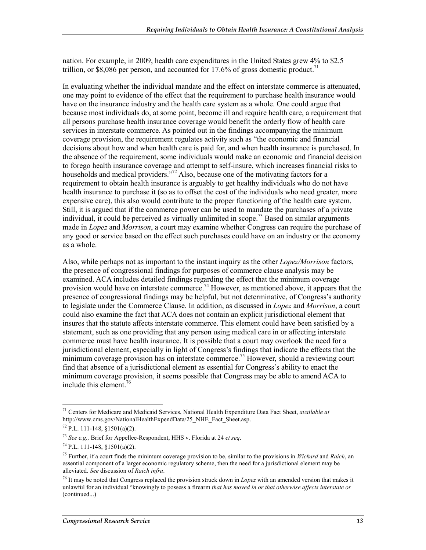nation. For example, in 2009, health care expenditures in the United States grew 4% to \$2.5 trillion, or \$8,086 per person, and accounted for 17.6% of gross domestic product.<sup>71</sup>

In evaluating whether the individual mandate and the effect on interstate commerce is attenuated, one may point to evidence of the effect that the requirement to purchase health insurance would have on the insurance industry and the health care system as a whole. One could argue that because most individuals do, at some point, become ill and require health care, a requirement that all persons purchase health insurance coverage would benefit the orderly flow of health care services in interstate commerce. As pointed out in the findings accompanying the minimum coverage provision, the requirement regulates activity such as "the economic and financial decisions about how and when health care is paid for, and when health insurance is purchased. In the absence of the requirement, some individuals would make an economic and financial decision to forego health insurance coverage and attempt to self-insure, which increases financial risks to households and medical providers."<sup>72</sup> Also, because one of the motivating factors for a requirement to obtain health insurance is arguably to get healthy individuals who do not have health insurance to purchase it (so as to offset the cost of the individuals who need greater, more expensive care), this also would contribute to the proper functioning of the health care system. Still, it is argued that if the commerce power can be used to mandate the purchases of a private individual, it could be perceived as virtually unlimited in scope.<sup>73</sup> Based on similar arguments made in *Lopez* and *Morrison*, a court may examine whether Congress can require the purchase of any good or service based on the effect such purchases could have on an industry or the economy as a whole.

Also, while perhaps not as important to the instant inquiry as the other *Lopez/Morrison* factors, the presence of congressional findings for purposes of commerce clause analysis may be examined. ACA includes detailed findings regarding the effect that the minimum coverage provision would have on interstate commerce.<sup>74</sup> However, as mentioned above, it appears that the presence of congressional findings may be helpful, but not determinative, of Congress's authority to legislate under the Commerce Clause. In addition, as discussed in *Lopez* and *Morrison*, a court could also examine the fact that ACA does not contain an explicit jurisdictional element that insures that the statute affects interstate commerce. This element could have been satisfied by a statement, such as one providing that any person using medical care in or affecting interstate commerce must have health insurance. It is possible that a court may overlook the need for a jurisdictional element, especially in light of Congress's findings that indicate the effects that the minimum coverage provision has on interstate commerce.<sup>75</sup> However, should a reviewing court find that absence of a jurisdictional element as essential for Congress's ability to enact the minimum coverage provision, it seems possible that Congress may be able to amend ACA to include this element.76

<sup>1</sup> 71 Centers for Medicare and Medicaid Services, National Health Expenditure Data Fact Sheet, *available at*  http://www.cms.gov/NationalHealthExpendData/25\_NHE\_Fact\_Sheet.asp.

 $72$  P.L. 111-148, §1501(a)(2).

<sup>73</sup> *See e.g.,* Brief for Appellee-Respondent, HHS v. Florida at 24 *et seq*.

 $74$  P.L. 111-148, §1501(a)(2).

<sup>75</sup> Further, if a court finds the minimum coverage provision to be, similar to the provisions in *Wickard* and *Raich*, an essential component of a larger economic regulatory scheme, then the need for a jurisdictional element may be alleviated. *See* discussion of *Raich infra*.

<sup>76</sup> It may be noted that Congress replaced the provision struck down in *Lopez* with an amended version that makes it unlawful for an individual "knowingly to possess a firearm *that has moved in or that otherwise affects interstate or*  (continued...)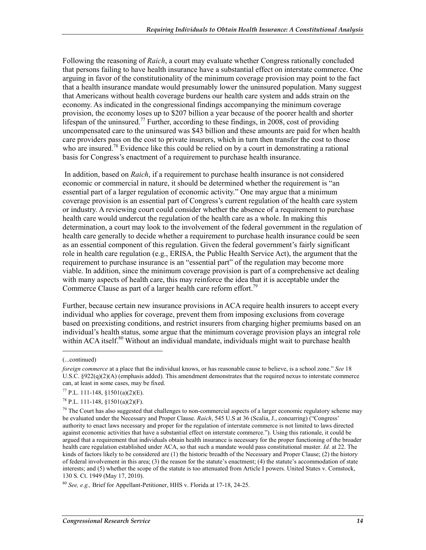Following the reasoning of *Raich*, a court may evaluate whether Congress rationally concluded that persons failing to have health insurance have a substantial effect on interstate commerce. One arguing in favor of the constitutionality of the minimum coverage provision may point to the fact that a health insurance mandate would presumably lower the uninsured population. Many suggest that Americans without health coverage burdens our health care system and adds strain on the economy. As indicated in the congressional findings accompanying the minimum coverage provision, the economy loses up to \$207 billion a year because of the poorer health and shorter lifespan of the uninsured.<sup>77</sup> Further, according to these findings, in 2008, cost of providing uncompensated care to the uninsured was \$43 billion and these amounts are paid for when health care providers pass on the cost to private insurers, which in turn then transfer the cost to those who are insured.<sup>78</sup> Evidence like this could be relied on by a court in demonstrating a rational basis for Congress's enactment of a requirement to purchase health insurance.

 In addition, based on *Raich*, if a requirement to purchase health insurance is not considered economic or commercial in nature, it should be determined whether the requirement is "an essential part of a larger regulation of economic activity." One may argue that a minimum coverage provision is an essential part of Congress's current regulation of the health care system or industry. A reviewing court could consider whether the absence of a requirement to purchase health care would undercut the regulation of the health care as a whole. In making this determination, a court may look to the involvement of the federal government in the regulation of health care generally to decide whether a requirement to purchase health insurance could be seen as an essential component of this regulation. Given the federal government's fairly significant role in health care regulation (e.g., ERISA, the Public Health Service Act), the argument that the requirement to purchase insurance is an "essential part" of the regulation may become more viable. In addition, since the minimum coverage provision is part of a comprehensive act dealing with many aspects of health care, this may reinforce the idea that it is acceptable under the Commerce Clause as part of a larger health care reform effort.<sup>79</sup>

Further, because certain new insurance provisions in ACA require health insurers to accept every individual who applies for coverage, prevent them from imposing exclusions from coverage based on preexisting conditions, and restrict insurers from charging higher premiums based on an individual's health status, some argue that the minimum coverage provision plays an integral role within ACA itself.<sup>80</sup> Without an individual mandate, individuals might wait to purchase health

 $\overline{a}$ 

<sup>(...</sup>continued)

*foreign commerce* at a place that the individual knows, or has reasonable cause to believe, is a school zone." *See* 18 U.S.C. §922(q)(2)(A) (emphasis added). This amendment demonstrates that the required nexus to interstate commerce can, at least in some cases, may be fixed.

 $77$  P.L. 111-148, §1501(a)(2)(E).

 $78$  P.L. 111-148, §1501(a)(2)(F).

 $79$  The Court has also suggested that challenges to non-commercial aspects of a larger economic regulatory scheme may be evaluated under the Necessary and Proper Clause. *Raich*, 545 U.S at 36 (Scalia, J., concurring) ("Congress' authority to enact laws necessary and proper for the regulation of interstate commerce is not limited to laws directed against economic activities that have a substantial effect on interstate commerce."). Using this rationale, it could be argued that a requirement that individuals obtain health insurance is necessary for the proper functioning of the broader health care regulation established under ACA, so that such a mandate would pass constitutional muster. *Id*. at 22. The kinds of factors likely to be considered are (1) the historic breadth of the Necessary and Proper Clause; (2) the history of federal involvement in this area; (3) the reason for the statute's enactment; (4) the statute's accommodation of state interests; and (5) whether the scope of the statute is too attenuated from Article I powers. United States v. Comstock, 130 S. Ct. 1949 (May 17, 2010).

<sup>80</sup> *See, e.g.,* Brief for Appellant-Petitioner, HHS v. Florida at 17-18, 24-25.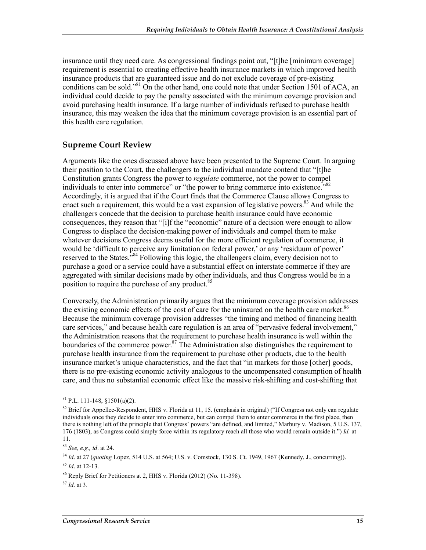insurance until they need care. As congressional findings point out, "[t]he [minimum coverage] requirement is essential to creating effective health insurance markets in which improved health insurance products that are guaranteed issue and do not exclude coverage of pre-existing conditions can be sold."<sup>81</sup> On the other hand, one could note that under Section 1501 of ACA, an individual could decide to pay the penalty associated with the minimum coverage provision and avoid purchasing health insurance. If a large number of individuals refused to purchase health insurance, this may weaken the idea that the minimum coverage provision is an essential part of this health care regulation.

#### **Supreme Court Review**

Arguments like the ones discussed above have been presented to the Supreme Court. In arguing their position to the Court, the challengers to the individual mandate contend that "[t]he Constitution grants Congress the power to *regulate* commerce, not the power to compel individuals to enter into commerce" or "the power to bring commerce into existence.<sup>"82</sup> Accordingly, it is argued that if the Court finds that the Commerce Clause allows Congress to enact such a requirement, this would be a vast expansion of legislative powers.<sup>83</sup> And while the challengers concede that the decision to purchase health insurance could have economic consequences, they reason that "[i]f the "economic" nature of a decision were enough to allow Congress to displace the decision-making power of individuals and compel them to make whatever decisions Congress deems useful for the more efficient regulation of commerce, it would be 'difficult to perceive any limitation on federal power,' or any 'residuum of power' reserved to the States.<sup>584</sup> Following this logic, the challengers claim, every decision not to purchase a good or a service could have a substantial effect on interstate commerce if they are aggregated with similar decisions made by other individuals, and thus Congress would be in a position to require the purchase of any product.<sup>85</sup>

Conversely, the Administration primarily argues that the minimum coverage provision addresses the existing economic effects of the cost of care for the uninsured on the health care market.<sup>86</sup> Because the minimum coverage provision addresses "the timing and method of financing health care services," and because health care regulation is an area of "pervasive federal involvement," the Administration reasons that the requirement to purchase health insurance is well within the boundaries of the commerce power.<sup>87</sup> The Administration also distinguishes the requirement to purchase health insurance from the requirement to purchase other products, due to the health insurance market's unique characteristics, and the fact that "in markets for those [other] goods, there is no pre-existing economic activity analogous to the uncompensated consumption of health care, and thus no substantial economic effect like the massive risk-shifting and cost-shifting that

<sup>&</sup>lt;u>.</u>  $81$  P.L. 111-148,  $$1501(a)(2)$ .

<sup>&</sup>lt;sup>82</sup> Brief for Appellee-Respondent, HHS v. Florida at 11, 15. (emphasis in original) ("If Congress not only can regulate individuals once they decide to enter into commerce, but can compel them to enter commerce in the first place, then there is nothing left of the principle that Congress' powers "are defined, and limited," Marbury v. Madison, 5 U.S. 137, 176 (1803), as Congress could simply force within its regulatory reach all those who would remain outside it.") *Id.* at 11.

<sup>83</sup> *See, e.g., id*. at 24.

<sup>84</sup> *Id*. at 27 (*quoting* Lopez, 514 U.S. at 564; U.S. v. Comstock, 130 S. Ct. 1949, 1967 (Kennedy, J., concurring)).

<sup>85</sup> *Id*. at 12-13.

<sup>86</sup> Reply Brief for Petitioners at 2, HHS v. Florida (2012) (No. 11-398).

<sup>87</sup> *Id*. at 3.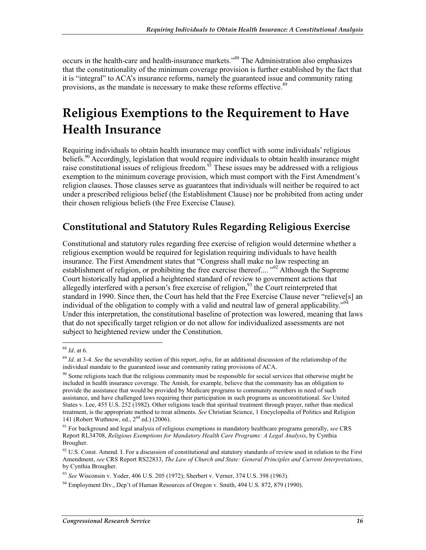occurs in the health-care and health-insurance markets."<sup>88</sup> The Administration also emphasizes that the constitutionality of the minimum coverage provision is further established by the fact that it is "integral" to ACA's insurance reforms, namely the guaranteed issue and community rating provisions, as the mandate is necessary to make these reforms effective.<sup>89</sup>

## **Religious Exemptions to the Requirement to Have Health Insurance**

Requiring individuals to obtain health insurance may conflict with some individuals' religious beliefs.<sup>90</sup> Accordingly, legislation that would require individuals to obtain health insurance might raise constitutional issues of religious freedom.<sup>91</sup> These issues may be addressed with a religious exemption to the minimum coverage provision, which must comport with the First Amendment's religion clauses. Those clauses serve as guarantees that individuals will neither be required to act under a prescribed religious belief (the Establishment Clause) nor be prohibited from acting under their chosen religious beliefs (the Free Exercise Clause).

### **Constitutional and Statutory Rules Regarding Religious Exercise**

Constitutional and statutory rules regarding free exercise of religion would determine whether a religious exemption would be required for legislation requiring individuals to have health insurance. The First Amendment states that "Congress shall make no law respecting an establishment of religion, or prohibiting the free exercise thereof.... "<sup>92</sup> Although the Supreme Court historically had applied a heightened standard of review to government actions that allegedly interfered with a person's free exercise of religion,  $93$  the Court reinterpreted that standard in 1990. Since then, the Court has held that the Free Exercise Clause never "relieve[s] an individual of the obligation to comply with a valid and neutral law of general applicability."<sup>9</sup> Under this interpretation, the constitutional baseline of protection was lowered, meaning that laws that do not specifically target religion or do not allow for individualized assessments are not subject to heightened review under the Constitution.

<sup>1</sup> <sup>88</sup> *Id*. at 6.

<sup>89</sup> *Id*. at 3-4. *See* the severability section of this report, *infra*, for an additional discussion of the relationship of the individual mandate to the guaranteed issue and community rating provisions of ACA.

<sup>&</sup>lt;sup>90</sup> Some religions teach that the religious community must be responsible for social services that otherwise might be included in health insurance coverage. The Amish, for example, believe that the community has an obligation to provide the assistance that would be provided by Medicare programs to community members in need of such assistance, and have challenged laws requiring their participation in such programs as unconstitutional. *See* United States v. Lee, 455 U.S. 252 (1982). Other religions teach that spiritual treatment through prayer, rather than medical treatment, is the appropriate method to treat ailments. *See* Christian Science, 1 Encyclopedia of Politics and Religion 141 (Robert Wuthnow, ed., 2nd ed.) (2006).

<sup>91</sup> For background and legal analysis of religious exemptions in mandatory healthcare programs generally, *see* CRS Report RL34708, *Religious Exemptions for Mandatory Health Care Programs: A Legal Analysis*, by Cynthia Brougher.

<sup>&</sup>lt;sup>92</sup> U.S. Const. Amend. I. For a discussion of constitutional and statutory standards of review used in relation to the First Amendment, *see* CRS Report RS22833, *The Law of Church and State: General Principles and Current Interpretations*, by Cynthia Brougher.

<sup>93</sup> *See* Wisconsin v. Yoder, 406 U.S. 205 (1972); Sherbert v. Verner, 374 U.S. 398 (1963).

 $94$  Employment Div., Dep't of Human Resources of Oregon v. Smith, 494 U.S. 872, 879 (1990).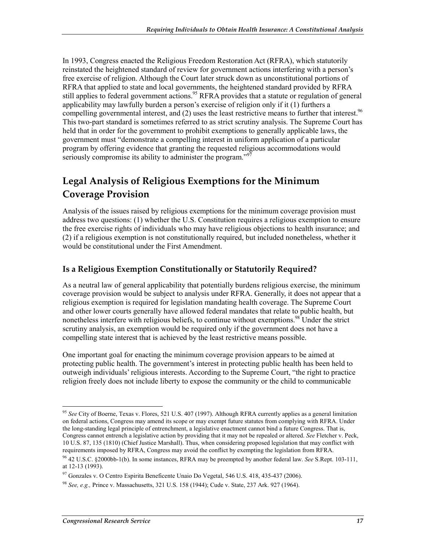In 1993, Congress enacted the Religious Freedom Restoration Act (RFRA), which statutorily reinstated the heightened standard of review for government actions interfering with a person's free exercise of religion. Although the Court later struck down as unconstitutional portions of RFRA that applied to state and local governments, the heightened standard provided by RFRA still applies to federal government actions.<sup>95</sup> RFRA provides that a statute or regulation of general applicability may lawfully burden a person's exercise of religion only if it (1) furthers a compelling governmental interest, and  $(2)$  uses the least restrictive means to further that interest.<sup>96</sup> This two-part standard is sometimes referred to as strict scrutiny analysis. The Supreme Court has held that in order for the government to prohibit exemptions to generally applicable laws, the government must "demonstrate a compelling interest in uniform application of a particular program by offering evidence that granting the requested religious accommodations would seriously compromise its ability to administer the program."<sup>97</sup>

## **Legal Analysis of Religious Exemptions for the Minimum Coverage Provision**

Analysis of the issues raised by religious exemptions for the minimum coverage provision must address two questions: (1) whether the U.S. Constitution requires a religious exemption to ensure the free exercise rights of individuals who may have religious objections to health insurance; and (2) if a religious exemption is not constitutionally required, but included nonetheless, whether it would be constitutional under the First Amendment.

#### **Is a Religious Exemption Constitutionally or Statutorily Required?**

As a neutral law of general applicability that potentially burdens religious exercise, the minimum coverage provision would be subject to analysis under RFRA. Generally, it does not appear that a religious exemption is required for legislation mandating health coverage. The Supreme Court and other lower courts generally have allowed federal mandates that relate to public health, but nonetheless interfere with religious beliefs, to continue without exemptions.<sup>98</sup> Under the strict scrutiny analysis, an exemption would be required only if the government does not have a compelling state interest that is achieved by the least restrictive means possible.

One important goal for enacting the minimum coverage provision appears to be aimed at protecting public health. The government's interest in protecting public health has been held to outweigh individuals' religious interests. According to the Supreme Court, "the right to practice religion freely does not include liberty to expose the community or the child to communicable

<sup>95</sup> *See* City of Boerne, Texas v. Flores, 521 U.S. 407 (1997). Although RFRA currently applies as a general limitation on federal actions, Congress may amend its scope or may exempt future statutes from complying with RFRA. Under the long-standing legal principle of entrenchment, a legislative enactment cannot bind a future Congress. That is, Congress cannot entrench a legislative action by providing that it may not be repealed or altered. *See* Fletcher v. Peck, 10 U.S. 87, 135 (1810) (Chief Justice Marshall). Thus, when considering proposed legislation that may conflict with requirements imposed by RFRA, Congress may avoid the conflict by exempting the legislation from RFRA.

<sup>96 42</sup> U.S.C. §2000bb-1(b). In some instances, RFRA may be preempted by another federal law. *See* S.Rept. 103-111, at 12-13 (1993).

 $97$  Gonzales v. O Centro Espirita Beneficente Unaio Do Vegetal, 546 U.S. 418, 435-437 (2006).

<sup>98</sup> *See, e.g.,* Prince v. Massachusetts, 321 U.S. 158 (1944); Cude v. State, 237 Ark. 927 (1964).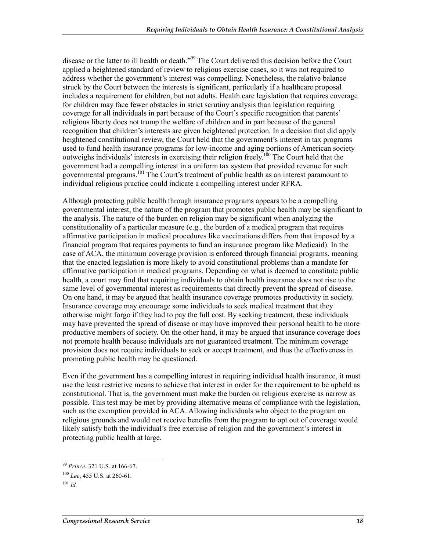disease or the latter to ill health or death."<sup>99</sup> The Court delivered this decision before the Court applied a heightened standard of review to religious exercise cases, so it was not required to address whether the government's interest was compelling. Nonetheless, the relative balance struck by the Court between the interests is significant, particularly if a healthcare proposal includes a requirement for children, but not adults. Health care legislation that requires coverage for children may face fewer obstacles in strict scrutiny analysis than legislation requiring coverage for all individuals in part because of the Court's specific recognition that parents' religious liberty does not trump the welfare of children and in part because of the general recognition that children's interests are given heightened protection. In a decision that did apply heightened constitutional review, the Court held that the government's interest in tax programs used to fund health insurance programs for low-income and aging portions of American society outweighs individuals' interests in exercising their religion freely.<sup>100</sup> The Court held that the government had a compelling interest in a uniform tax system that provided revenue for such governmental programs.101 The Court's treatment of public health as an interest paramount to individual religious practice could indicate a compelling interest under RFRA.

Although protecting public health through insurance programs appears to be a compelling governmental interest, the nature of the program that promotes public health may be significant to the analysis. The nature of the burden on religion may be significant when analyzing the constitutionality of a particular measure (e.g., the burden of a medical program that requires affirmative participation in medical procedures like vaccinations differs from that imposed by a financial program that requires payments to fund an insurance program like Medicaid). In the case of ACA, the minimum coverage provision is enforced through financial programs, meaning that the enacted legislation is more likely to avoid constitutional problems than a mandate for affirmative participation in medical programs. Depending on what is deemed to constitute public health, a court may find that requiring individuals to obtain health insurance does not rise to the same level of governmental interest as requirements that directly prevent the spread of disease. On one hand, it may be argued that health insurance coverage promotes productivity in society. Insurance coverage may encourage some individuals to seek medical treatment that they otherwise might forgo if they had to pay the full cost. By seeking treatment, these individuals may have prevented the spread of disease or may have improved their personal health to be more productive members of society. On the other hand, it may be argued that insurance coverage does not promote health because individuals are not guaranteed treatment. The minimum coverage provision does not require individuals to seek or accept treatment, and thus the effectiveness in promoting public health may be questioned.

Even if the government has a compelling interest in requiring individual health insurance, it must use the least restrictive means to achieve that interest in order for the requirement to be upheld as constitutional. That is, the government must make the burden on religious exercise as narrow as possible. This test may be met by providing alternative means of compliance with the legislation, such as the exemption provided in ACA. Allowing individuals who object to the program on religious grounds and would not receive benefits from the program to opt out of coverage would likely satisfy both the individual's free exercise of religion and the government's interest in protecting public health at large.

<sup>1</sup> <sup>99</sup> *Prince*, 321 U.S. at 166-67.

<sup>100</sup> *Lee*, 455 U.S. at 260-61.

 $101$  *Id.*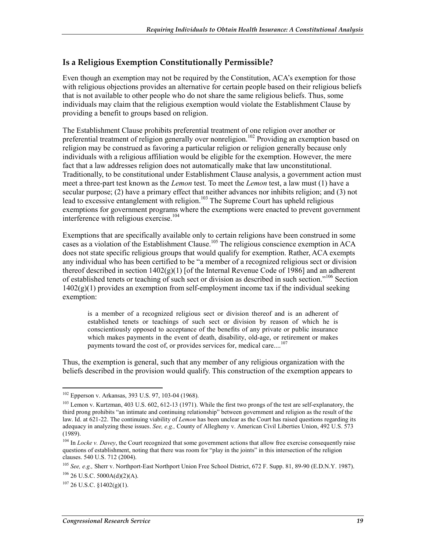#### **Is a Religious Exemption Constitutionally Permissible?**

Even though an exemption may not be required by the Constitution, ACA's exemption for those with religious objections provides an alternative for certain people based on their religious beliefs that is not available to other people who do not share the same religious beliefs. Thus, some individuals may claim that the religious exemption would violate the Establishment Clause by providing a benefit to groups based on religion.

The Establishment Clause prohibits preferential treatment of one religion over another or preferential treatment of religion generally over nonreligion.<sup>102</sup> Providing an exemption based on religion may be construed as favoring a particular religion or religion generally because only individuals with a religious affiliation would be eligible for the exemption. However, the mere fact that a law addresses religion does not automatically make that law unconstitutional. Traditionally, to be constitutional under Establishment Clause analysis, a government action must meet a three-part test known as the *Lemon* test. To meet the *Lemon* test, a law must (1) have a secular purpose; (2) have a primary effect that neither advances nor inhibits religion; and (3) not lead to excessive entanglement with religion.<sup>103</sup> The Supreme Court has upheld religious exemptions for government programs where the exemptions were enacted to prevent government interference with religious exercise.<sup>104</sup>

Exemptions that are specifically available only to certain religions have been construed in some Exemptions that are specificary a tunnelic crity of the religious conscience exemption in ACA cases as a violation of the Establishment Clause.<sup>105</sup> The religious conscience exemption in ACA does not state specific religious groups that would qualify for exemption. Rather, ACA exempts any individual who has been certified to be "a member of a recognized religious sect or division thereof described in section  $1402(g)(1)$  [of the Internal Revenue Code of 1986] and an adherent of established tenets or teaching of such sect or division as described in such section."<sup>106</sup> Section  $1402(g)(1)$  provides an exemption from self-employment income tax if the individual seeking exemption:

is a member of a recognized religious sect or division thereof and is an adherent of established tenets or teachings of such sect or division by reason of which he is conscientiously opposed to acceptance of the benefits of any private or public insurance which makes payments in the event of death, disability, old-age, or retirement or makes payments toward the cost of, or provides services for, medical care....<sup>107</sup>

Thus, the exemption is general, such that any member of any religious organization with the beliefs described in the provision would qualify. This construction of the exemption appears to

<sup>102</sup> Epperson v. Arkansas, 393 U.S. 97, 103-04 (1968).

<sup>&</sup>lt;sup>103</sup> Lemon v. Kurtzman, 403 U.S. 602, 612-13 (1971). While the first two prongs of the test are self-explanatory, the third prong prohibits "an intimate and continuing relationship" between government and religion as the result of the law. Id. at 621-22. The continuing viability of *Lemon* has been unclear as the Court has raised questions regarding its adequacy in analyzing these issues. *See, e.g.,* County of Allegheny v. American Civil Liberties Union, 492 U.S. 573 (1989).

<sup>&</sup>lt;sup>104</sup> In *Locke v. Davey*, the Court recognized that some government actions that allow free exercise consequently raise questions of establishment, noting that there was room for "play in the joints" in this intersection of the religion clauses. 540 U.S. 712 (2004).

<sup>105</sup> *See, e.g.,* Sherr v. Northport-East Northport Union Free School District, 672 F. Supp. 81, 89-90 (E.D.N.Y. 1987).  $106$  26 U.S.C. 5000A(d)(2)(A).

 $107$  26 U.S.C. §1402(g)(1).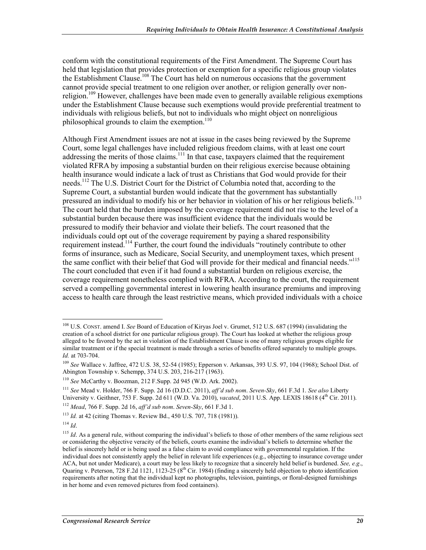conform with the constitutional requirements of the First Amendment. The Supreme Court has held that legislation that provides protection or exemption for a specific religious group violates the Establishment Clause.<sup>108</sup> The Court has held on numerous occasions that the government cannot provide special treatment to one religion over another, or religion generally over nonreligion.<sup>109</sup> However, challenges have been made even to generally available religious exemptions under the Establishment Clause because such exemptions would provide preferential treatment to individuals with religious beliefs, but not to individuals who might object on nonreligious philosophical grounds to claim the exemption.<sup>110</sup>

Although First Amendment issues are not at issue in the cases being reviewed by the Supreme Court, some legal challenges have included religious freedom claims, with at least one court addressing the merits of those claims.<sup>111</sup> In that case, taxpayers claimed that the requirement violated RFRA by imposing a substantial burden on their religious exercise because obtaining health insurance would indicate a lack of trust as Christians that God would provide for their needs.<sup>112</sup> The U.S. District Court for the District of Columbia noted that, according to the Supreme Court, a substantial burden would indicate that the government has substantially pressured an individual to modify his or her behavior in violation of his or her religious beliefs.<sup>113</sup> The court held that the burden imposed by the coverage requirement did not rise to the level of a substantial burden because there was insufficient evidence that the individuals would be pressured to modify their behavior and violate their beliefs. The court reasoned that the individuals could opt out of the coverage requirement by paying a shared responsibility requirement instead.<sup>114</sup> Further, the court found the individuals "routinely contribute to other forms of insurance, such as Medicare, Social Security, and unemployment taxes, which present the same conflict with their belief that God will provide for their medical and financial needs."<sup>115</sup> The court concluded that even if it had found a substantial burden on religious exercise, the coverage requirement nonetheless complied with RFRA. According to the court, the requirement served a compelling governmental interest in lowering health insurance premiums and improving access to health care through the least restrictive means, which provided individuals with a choice

<sup>&</sup>lt;u>.</u> 108 U.S. CONST. amend I. *See* Board of Education of Kiryas Joel v. Grumet, 512 U.S. 687 (1994) (invalidating the creation of a school district for one particular religious group). The Court has looked at whether the religious group alleged to be favored by the act in violation of the Establishment Clause is one of many religious groups eligible for similar treatment or if the special treatment is made through a series of benefits offered separately to multiple groups. *Id.* at 703-704.

<sup>109</sup> *See* Wallace v. Jaffree, 472 U.S. 38, 52-54 (1985); Epperson v. Arkansas, 393 U.S. 97, 104 (1968); School Dist. of Abington Township v. Schempp, 374 U.S. 203, 216-217 (1963).

<sup>110</sup> *See* McCarthy v. Boozman, 212 F.Supp. 2d 945 (W.D. Ark. 2002).

<sup>111</sup> *See* Mead v. Holder, 766 F. Supp. 2d 16 (D.D.C. 2011), *aff'd sub nom*. *Seven-Sky*, 661 F.3d 1. *See also* Liberty University v. Geithner, 753 F. Supp. 2d 611 (W.D. Va. 2010), *vacated*, 2011 U.S. App. LEXIS 18618 (4th Cir. 2011). <sup>112</sup> *Mead*, 766 F. Supp. 2d 16, *aff'd sub nom*. *Seven-Sky*, 661 F.3d 1.

<sup>113</sup> *Id.* at 42 (citing Thomas v. Review Bd., 450 U.S. 707, 718 (1981)).

<sup>114</sup> *Id*.

<sup>&</sup>lt;sup>115</sup> *Id*. As a general rule, without comparing the individual's beliefs to those of other members of the same religious sect or considering the objective veracity of the beliefs, courts examine the individual's beliefs to determine whether the belief is sincerely held or is being used as a false claim to avoid compliance with governmental regulation. If the individual does not consistently apply the belief in relevant life experiences (e.g., objecting to insurance coverage under ACA, but not under Medicare), a court may be less likely to recognize that a sincerely held belief is burdened. *See, e.g*., Quaring v. Peterson, 728 F.2d 1121, 1123-25 (8<sup>th</sup> Cir. 1984) (finding a sincerely held objection to photo identification requirements after noting that the individual kept no photographs, television, paintings, or floral-designed furnishings in her home and even removed pictures from food containers).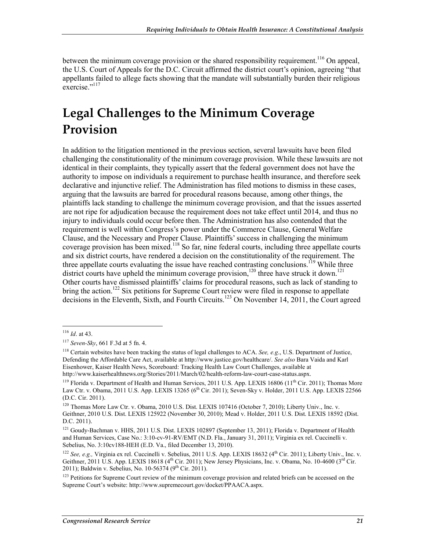between the minimum coverage provision or the shared responsibility requirement.<sup>116</sup> On appeal, the U.S. Court of Appeals for the D.C. Circuit affirmed the district court's opinion, agreeing "that appellants failed to allege facts showing that the mandate will substantially burden their religious exercise."<sup>117</sup>

## **Legal Challenges to the Minimum Coverage Provision**

In addition to the litigation mentioned in the previous section, several lawsuits have been filed challenging the constitutionality of the minimum coverage provision. While these lawsuits are not identical in their complaints, they typically assert that the federal government does not have the authority to impose on individuals a requirement to purchase health insurance, and therefore seek declarative and injunctive relief. The Administration has filed motions to dismiss in these cases, arguing that the lawsuits are barred for procedural reasons because, among other things, the plaintiffs lack standing to challenge the minimum coverage provision, and that the issues asserted are not ripe for adjudication because the requirement does not take effect until 2014, and thus no injury to individuals could occur before then. The Administration has also contended that the requirement is well within Congress's power under the Commerce Clause, General Welfare Clause, and the Necessary and Proper Clause. Plaintiffs' success in challenging the minimum coverage provision has been mixed.<sup>118</sup> So far, nine federal courts, including three appellate courts and six district courts, have rendered a decision on the constitutionality of the requirement. The three appellate courts evaluating the issue have reached contrasting conclusions.<sup>119</sup> While three district courts have upheld the minimum coverage provision,<sup>120</sup> three have struck it down.<sup>121</sup> Other courts have dismissed plaintiffs' claims for procedural reasons, such as lack of standing to bring the action.<sup>122</sup> Six petitions for Supreme Court review were filed in response to appellate decisions in the Eleventh, Sixth, and Fourth Circuits.123 On November 14, 2011, the Court agreed

<sup>116</sup> *Id*. at 43.

<sup>117</sup> *Seven-Sky*, 661 F.3d at 5 fn. 4.

<sup>118</sup> Certain websites have been tracking the status of legal challenges to ACA. *See, e.g*., U.S. Department of Justice, Defending the Affordable Care Act, available at http://www.justice.gov/healthcare/. *See also* Bara Vaida and Karl Eisenhower, Kaiser Health News, Scoreboard: Tracking Health Law Court Challenges, available at http://www.kaiserhealthnews.org/Stories/2011/March/02/health-reform-law-court-case-status.aspx.

<sup>&</sup>lt;sup>119</sup> Florida v. Department of Health and Human Services, 2011 U.S. App. LEXIS 16806 (11<sup>th</sup> Cir. 2011); Thomas More Law Ctr. v. Obama, 2011 U.S. App. LEXIS 13265 (6<sup>th</sup> Cir. 2011); Seven-Sky v. Holder, 2011 U.S. App. LEXIS 22566 (D.C. Cir. 2011).

<sup>&</sup>lt;sup>120</sup> Thomas More Law Ctr. v. Obama, 2010 U.S. Dist. LEXIS 107416 (October 7, 2010); Liberty Univ., Inc. v. Geithner, 2010 U.S. Dist. LEXIS 125922 (November 30, 2010); Mead v. Holder, 2011 U.S. Dist. LEXIS 18592 (Dist. D.C. 2011).

<sup>&</sup>lt;sup>121</sup> Goudy-Bachman v. HHS, 2011 U.S. Dist. LEXIS 102897 (September 13, 2011); Florida v. Department of Health and Human Services, Case No.: 3:10-cv-91-RV/EMT (N.D. Fla., January 31, 2011); Virginia ex rel. Cuccinelli v. Sebelius, No. 3:10cv188-HEH (E.D. Va., filed December 13, 2010).

<sup>&</sup>lt;sup>122</sup> *See, e.g.*, Virginia ex rel. Cuccinelli v. Sebelius, 2011 U.S. App. LEXIS 18632 (4<sup>th</sup> Cir. 2011); Liberty Univ., Inc. v. Geithner, 2011 U.S. App. LEXIS 18618 (4<sup>th</sup> Cir. 2011); New Jersey Physicians, Inc. v. Obama, No. 10-4600 (3<sup>rd</sup> Cir. 2011); Baldwin v. Sebelius, No. 10-56374 (9<sup>th</sup> Cir. 2011).

<sup>&</sup>lt;sup>123</sup> Petitions for Supreme Court review of the minimum coverage provision and related briefs can be accessed on the Supreme Court's website: http://www.supremecourt.gov/docket/PPAACA.aspx.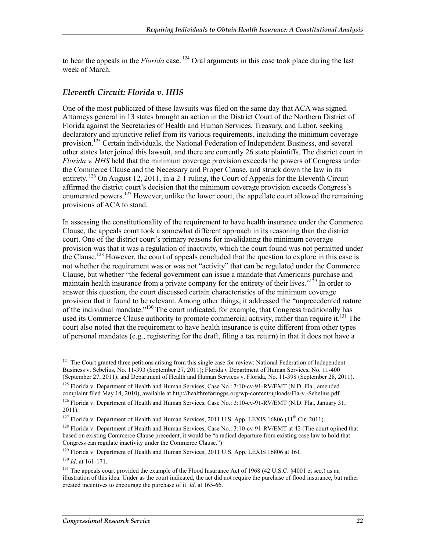to hear the appeals in the *Florida* case. <sup>124</sup> Oral arguments in this case took place during the last week of March.

#### *Eleventh Circuit: Florida v. HHS*

One of the most publicized of these lawsuits was filed on the same day that ACA was signed. Attorneys general in 13 states brought an action in the District Court of the Northern District of Florida against the Secretaries of Health and Human Services, Treasury, and Labor, seeking declaratory and injunctive relief from its various requirements, including the minimum coverage provision.<sup>125</sup> Certain individuals, the National Federation of Independent Business, and several other states later joined this lawsuit, and there are currently 26 state plaintiffs. The district court in *Florida v. HHS* held that the minimum coverage provision exceeds the powers of Congress under the Commerce Clause and the Necessary and Proper Clause, and struck down the law in its entirety.  $^{126}$  On August 12, 2011, in a 2-1 ruling, the Court of Appeals for the Eleventh Circuit affirmed the district court's decision that the minimum coverage provision exceeds Congress's enumerated powers.<sup>127</sup> However, unlike the lower court, the appellate court allowed the remaining provisions of ACA to stand.

In assessing the constitutionality of the requirement to have health insurance under the Commerce Clause, the appeals court took a somewhat different approach in its reasoning than the district court. One of the district court's primary reasons for invalidating the minimum coverage provision was that it was a regulation of inactivity, which the court found was not permitted under the Clause.<sup>128</sup> However, the court of appeals concluded that the question to explore in this case is not whether the requirement was or was not "activity" that can be regulated under the Commerce Clause, but whether "the federal government can issue a mandate that Americans purchase and maintain health insurance from a private company for the entirety of their lives."<sup>129</sup> In order to answer this question, the court discussed certain characteristics of the minimum coverage provision that it found to be relevant. Among other things, it addressed the "unprecedented nature of the individual mandate."<sup>130</sup> The court indicated, for example, that Congress traditionally has used its Commerce Clause authority to promote commercial activity, rather than require it.<sup>131</sup> The court also noted that the requirement to have health insurance is quite different from other types of personal mandates (e.g., registering for the draft, filing a tax return) in that it does not have a

<u>.</u>

 $124$  The Court granted three petitions arising from this single case for review: National Federation of Independent Business v. Sebelius, No. 11-393 (September 27, 2011); Florida v Department of Human Services, No. 11-400 (September 27, 2011); and Department of Health and Human Services v. Florida, No. 11-398 (September 28, 2011).

<sup>&</sup>lt;sup>125</sup> Florida v. Department of Health and Human Services, Case No.: 3:10-cv-91-RV/EMT (N.D. Fla., amended complaint filed May 14, 2010), available at http://healthreformgps.org/wp-content/uploads/Fla-v.-Sebelius.pdf. <sup>126</sup> Florida v. Department of Health and Human Services, Case No.: 3:10-cv-91-RV/EMT (N.D. Fla., January 31, 2011).

<sup>&</sup>lt;sup>127</sup> Florida v. Department of Health and Human Services, 2011 U.S. App. LEXIS 16806 (11<sup>th</sup> Cir. 2011).

<sup>&</sup>lt;sup>128</sup> Florida v. Department of Health and Human Services, Case No.: 3:10-cv-91-RV/EMT at 42 (The court opined that based on existing Commerce Clause precedent, it would be "a radical departure from existing case law to hold that Congress can regulate inactivity under the Commerce Clause.")

<sup>&</sup>lt;sup>129</sup> Florida v. Department of Health and Human Services, 2011 U.S. App. LEXIS 16806 at 161.

<sup>130</sup> *Id*. at 161-171.

<sup>&</sup>lt;sup>131</sup> The appeals court provided the example of the Flood Insurance Act of 1968 (42 U.S.C. §4001 et seq.) as an illustration of this idea. Under as the court indicated, the act did not require the purchase of flood insurance, but rather created incentives to encourage the purchase of it. *Id*. at 165-66.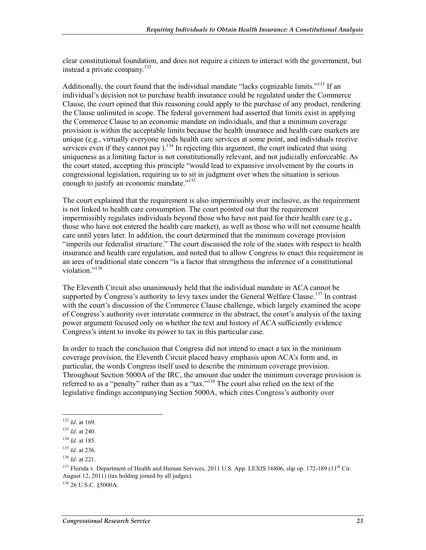clear constitutional foundation, and does not require a citizen to interact with the government, but instead a private company.132

Additionally, the court found that the individual mandate "lacks cognizable limits."<sup>133</sup> If an individual's decision not to purchase health insurance could be regulated under the Commerce Clause, the court opined that this reasoning could apply to the purchase of any product, rendering the Clause unlimited in scope. The federal government had asserted that limits exist in applying the Commerce Clause to an economic mandate on individuals, and that a minimum coverage provision is within the acceptable limits because the health insurance and health care markets are unique (e.g., virtually everyone needs health care services at some point, and individuals receive services even if they cannot pay  $1^{34}$  In rejecting this argument, the court indicated that using uniqueness as a limiting factor is not constitutionally relevant, and not judicially enforceable. As the court stated, accepting this principle "would lead to expansive involvement by the courts in congressional legislation, requiring us to sit in judgment over when the situation is serious enough to justify an economic mandate."<sup>135</sup>

The court explained that the requirement is also impermissibly over inclusive, as the requirement is not linked to health care consumption. The court pointed out that the requirement impermissibly regulates individuals beyond those who have not paid for their health care (e.g., those who have not entered the health care market), as well as those who will not consume health care until years later. In addition, the court determined that the minimum coverage provision "imperils our federalist structure." The court discussed the role of the states with respect to health insurance and health care regulation, and noted that to allow Congress to enact this requirement in an area of traditional state concern "is a factor that strengthens the inference of a constitutional violation<sup>"136</sup>

The Eleventh Circuit also unanimously held that the individual mandate in ACA cannot be supported by Congress's authority to levy taxes under the General Welfare Clause.<sup>137</sup> In contrast with the court's discussion of the Commerce Clause challenge, which largely examined the scope of Congress's authority over interstate commerce in the abstract, the court's analysis of the taxing power argument focused only on whether the text and history of ACA sufficiently evidence Congress's intent to invoke its power to tax in this particular case.

In order to reach the conclusion that Congress did not intend to enact a tax in the minimum coverage provision, the Eleventh Circuit placed heavy emphasis upon ACA's form and, in particular, the words Congress itself used to describe the minimum coverage provision. Throughout Section 5000A of the IRC, the amount due under the minimum coverage provision is referred to as a "penalty" rather than as a "tax."<sup>138</sup> The court also relied on the text of the legislative findings accompanying Section 5000A, which cites Congress's authority over

<sup>132</sup> *Id*. at 169.

<sup>133</sup> *Id*. at 240.

<sup>134</sup> *Id*. at 185.

<sup>135</sup> *Id*. at 236.

<sup>136</sup> *Id*. at 221.

<sup>&</sup>lt;sup>137</sup> Florida v. Department of Health and Human Services, 2011 U.S. App. LEXIS 16806, slip op. 172-189 (11<sup>th</sup> Cir. August 12, 2011) (tax holding joined by all judges). 138 26 U.S.C. §5000A.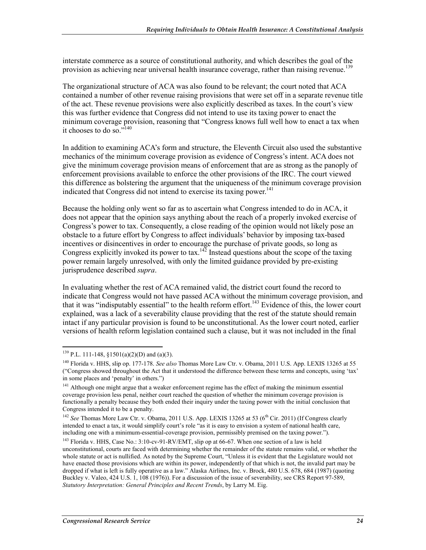interstate commerce as a source of constitutional authority, and which describes the goal of the provision as achieving near universal health insurance coverage, rather than raising revenue.<sup>139</sup>

The organizational structure of ACA was also found to be relevant; the court noted that ACA contained a number of other revenue raising provisions that were set off in a separate revenue title of the act. These revenue provisions were also explicitly described as taxes. In the court's view this was further evidence that Congress did not intend to use its taxing power to enact the minimum coverage provision, reasoning that "Congress knows full well how to enact a tax when it chooses to do so."140

In addition to examining ACA's form and structure, the Eleventh Circuit also used the substantive mechanics of the minimum coverage provision as evidence of Congress's intent. ACA does not give the minimum coverage provision means of enforcement that are as strong as the panoply of enforcement provisions available to enforce the other provisions of the IRC. The court viewed this difference as bolstering the argument that the uniqueness of the minimum coverage provision indicated that Congress did not intend to exercise its taxing power. $141$ 

Because the holding only went so far as to ascertain what Congress intended to do in ACA, it does not appear that the opinion says anything about the reach of a properly invoked exercise of Congress's power to tax. Consequently, a close reading of the opinion would not likely pose an obstacle to a future effort by Congress to affect individuals' behavior by imposing tax-based incentives or disincentives in order to encourage the purchase of private goods, so long as Congress explicitly invoked its power to tax.<sup>142</sup> Instead questions about the scope of the taxing power remain largely unresolved, with only the limited guidance provided by pre-existing jurisprudence described *supra*.

In evaluating whether the rest of ACA remained valid, the district court found the record to indicate that Congress would not have passed ACA without the minimum coverage provision, and that it was "indisputably essential" to the health reform effort.143 Evidence of this, the lower court explained, was a lack of a severability clause providing that the rest of the statute should remain intact if any particular provision is found to be unconstitutional. As the lower court noted, earlier versions of health reform legislation contained such a clause, but it was not included in the final

 $139$  P.L. 111-148, §1501(a)(2)(D) and (a)(3).

<sup>140</sup> Florida v. HHS, slip op. 177-178. *See also* Thomas More Law Ctr. v. Obama, 2011 U.S. App. LEXIS 13265 at 55 ("Congress showed throughout the Act that it understood the difference between these terms and concepts, using 'tax' in some places and 'penalty' in others.")

<sup>&</sup>lt;sup>141</sup> Although one might argue that a weaker enforcement regime has the effect of making the minimum essential coverage provision less penal, neither court reached the question of whether the minimum coverage provision is functionally a penalty because they both ended their inquiry under the taxing power with the initial conclusion that Congress intended it to be a penalty.

<sup>&</sup>lt;sup>142</sup> *See* Thomas More Law Ctr. v. Obama, 2011 U.S. App. LEXIS 13265 at 53 (6<sup>th</sup> Cir. 2011) (If Congress clearly intended to enact a tax, it would simplify court's role "as it is easy to envision a system of national health care, including one with a minimum-essential-coverage provision, permissibly premised on the taxing power.").

<sup>&</sup>lt;sup>143</sup> Florida v. HHS, Case No.: 3:10-cv-91-RV/EMT, slip op at 66-67. When one section of a law is held unconstitutional, courts are faced with determining whether the remainder of the statute remains valid, or whether the whole statute or act is nullified. As noted by the Supreme Court, "Unless it is evident that the Legislature would not have enacted those provisions which are within its power, independently of that which is not, the invalid part may be dropped if what is left is fully operative as a law." Alaska Airlines, Inc. v. Brock, 480 U.S. 678, 684 (1987) (quoting Buckley v. Valeo, 424 U.S. 1, 108 (1976)). For a discussion of the issue of severability, see CRS Report 97-589, *Statutory Interpretation: General Principles and Recent Trends*, by Larry M. Eig.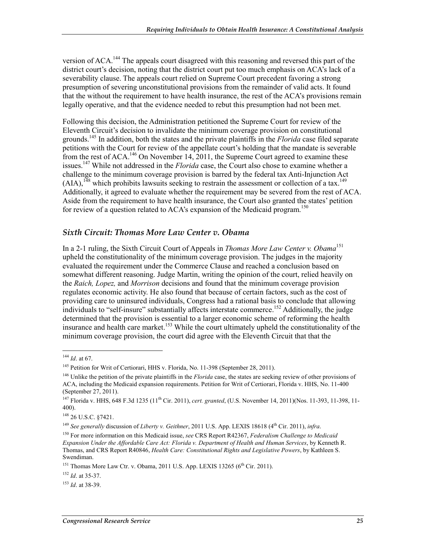version of ACA.<sup>144</sup> The appeals court disagreed with this reasoning and reversed this part of the district court's decision, noting that the district court put too much emphasis on ACA's lack of a severability clause. The appeals court relied on Supreme Court precedent favoring a strong presumption of severing unconstitutional provisions from the remainder of valid acts. It found that the without the requirement to have health insurance, the rest of the ACA's provisions remain legally operative, and that the evidence needed to rebut this presumption had not been met.

Following this decision, the Administration petitioned the Supreme Court for review of the Eleventh Circuit's decision to invalidate the minimum coverage provision on constitutional grounds.145 In addition, both the states and the private plaintiffs in the *Florida* case filed separate petitions with the Court for review of the appellate court's holding that the mandate is severable from the rest of ACA.<sup>146</sup> On November 14, 2011, the Supreme Court agreed to examine these issues.147 While not addressed in the *Florida* case, the Court also chose to examine whether a challenge to the minimum coverage provision is barred by the federal tax Anti-Injunction Act  $(AIA)$ ,<sup>148</sup> which prohibits lawsuits seeking to restrain the assessment or collection of a tax.<sup>149</sup> Additionally, it agreed to evaluate whether the requirement may be severed from the rest of ACA. Aside from the requirement to have health insurance, the Court also granted the states' petition for review of a question related to  $ACA$ 's expansion of the Medicaid program.<sup>150</sup>

#### *Sixth Circuit: Thomas More Law Center v. Obama*

In a 2-1 ruling, the Sixth Circuit Court of Appeals in *Thomas More Law Center v. Obama*<sup>151</sup> upheld the constitutionality of the minimum coverage provision. The judges in the majority evaluated the requirement under the Commerce Clause and reached a conclusion based on somewhat different reasoning. Judge Martin, writing the opinion of the court, relied heavily on the *Raich, Lopez,* and *Morrison* decisions and found that the minimum coverage provision regulates economic activity. He also found that because of certain factors, such as the cost of providing care to uninsured individuals, Congress had a rational basis to conclude that allowing individuals to "self-insure" substantially affects interstate commerce.<sup>152</sup> Additionally, the judge determined that the provision is essential to a larger economic scheme of reforming the health insurance and health care market.<sup>153</sup> While the court ultimately upheld the constitutionality of the minimum coverage provision, the court did agree with the Eleventh Circuit that that the

<u>.</u>

<sup>144</sup> *Id*. at 67.

<sup>&</sup>lt;sup>145</sup> Petition for Writ of Certiorari, HHS v. Florida, No. 11-398 (September 28, 2011).

<sup>&</sup>lt;sup>146</sup> Unlike the petition of the private plaintiffs in the *Florida* case, the states are seeking review of other provisions of ACA, including the Medicaid expansion requirements. Petition for Writ of Certiorari, Florida v. HHS, No. 11-400 (September 27, 2011).

<sup>&</sup>lt;sup>147</sup> Florida v. HHS, 648 F.3d 1235 (11<sup>th</sup> Cir. 2011), *cert. granted*, (U.S. November 14, 2011)(Nos. 11-393, 11-398, 11-400).

<sup>148 26</sup> U.S.C. §7421.

<sup>149</sup> *See generally* discussion of *Liberty v. Geithner*, 2011 U.S. App. LEXIS 18618 (4th Cir. 2011), *infra*.

<sup>150</sup> For more information on this Medicaid issue, *see* CRS Report R42367, *Federalism Challenge to Medicaid Expansion Under the Affordable Care Act: Florida v. Department of Health and Human Services*, by Kenneth R. Thomas, and CRS Report R40846, *Health Care: Constitutional Rights and Legislative Powers*, by Kathleen S. Swendiman.

 $151$  Thomas More Law Ctr. v. Obama, 2011 U.S. App. LEXIS 13265 ( $6<sup>th</sup>$  Cir. 2011).

<sup>152</sup> *Id*. at 35-37.

<sup>153</sup> *Id*. at 38-39.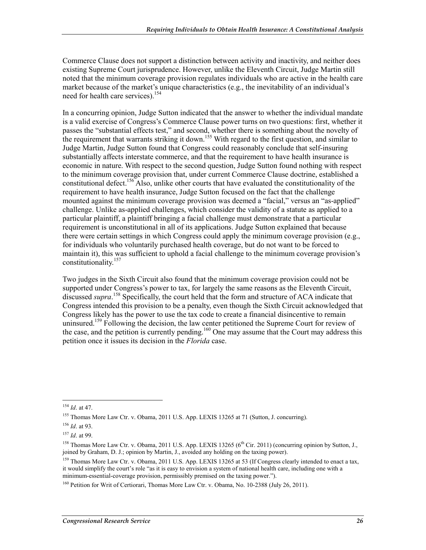Commerce Clause does not support a distinction between activity and inactivity, and neither does existing Supreme Court jurisprudence. However, unlike the Eleventh Circuit, Judge Martin still noted that the minimum coverage provision regulates individuals who are active in the health care market because of the market's unique characteristics (e.g., the inevitability of an individual's need for health care services).<sup>154</sup>

In a concurring opinion, Judge Sutton indicated that the answer to whether the individual mandate is a valid exercise of Congress's Commerce Clause power turns on two questions: first, whether it passes the "substantial effects test," and second, whether there is something about the novelty of the requirement that warrants striking it down.<sup>155</sup> With regard to the first question, and similar to Judge Martin, Judge Sutton found that Congress could reasonably conclude that self-insuring substantially affects interstate commerce, and that the requirement to have health insurance is economic in nature. With respect to the second question, Judge Sutton found nothing with respect to the minimum coverage provision that, under current Commerce Clause doctrine, established a constitutional defect.<sup>156</sup> Also, unlike other courts that have evaluated the constitutionality of the requirement to have health insurance, Judge Sutton focused on the fact that the challenge mounted against the minimum coverage provision was deemed a "facial," versus an "as-applied" challenge. Unlike as-applied challenges, which consider the validity of a statute as applied to a particular plaintiff, a plaintiff bringing a facial challenge must demonstrate that a particular requirement is unconstitutional in all of its applications. Judge Sutton explained that because there were certain settings in which Congress could apply the minimum coverage provision (e.g., for individuals who voluntarily purchased health coverage, but do not want to be forced to maintain it), this was sufficient to uphold a facial challenge to the minimum coverage provision's constitutionality.157

Two judges in the Sixth Circuit also found that the minimum coverage provision could not be supported under Congress's power to tax, for largely the same reasons as the Eleventh Circuit, discussed *supra*. 158 Specifically, the court held that the form and structure of ACA indicate that Congress intended this provision to be a penalty, even though the Sixth Circuit acknowledged that Congress likely has the power to use the tax code to create a financial disincentive to remain uninsured.<sup>159</sup> Following the decision, the law center petitioned the Supreme Court for review of the case, and the petition is currently pending.<sup>160</sup> One may assume that the Court may address this petition once it issues its decision in the *Florida* case.

<sup>1</sup> <sup>154</sup> *Id*. at 47.

<sup>&</sup>lt;sup>155</sup> Thomas More Law Ctr. v. Obama, 2011 U.S. App. LEXIS 13265 at 71 (Sutton, J. concurring).

<sup>156</sup> *Id*. at 93.

<sup>157</sup> *Id*. at 99.

<sup>&</sup>lt;sup>158</sup> Thomas More Law Ctr. v. Obama, 2011 U.S. App. LEXIS 13265 (6<sup>th</sup> Cir. 2011) (concurring opinion by Sutton, J., joined by Graham, D. J.; opinion by Martin, J., avoided any holding on the taxing power).

<sup>&</sup>lt;sup>159</sup> Thomas More Law Ctr. v. Obama, 2011 U.S. App. LEXIS 13265 at 53 (If Congress clearly intended to enact a tax, it would simplify the court's role "as it is easy to envision a system of national health care, including one with a minimum-essential-coverage provision, permissibly premised on the taxing power.").

<sup>160</sup> Petition for Writ of Certiorari, Thomas More Law Ctr. v. Obama, No. 10-2388 (July 26, 2011).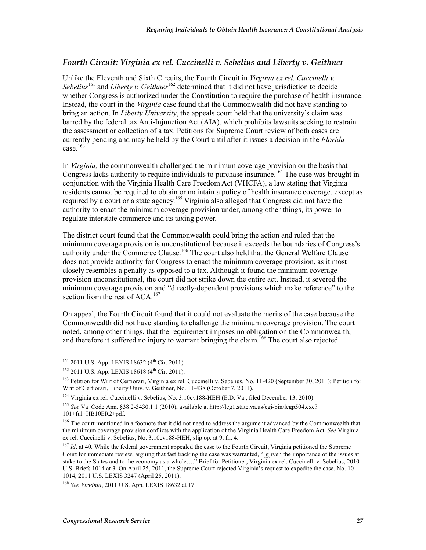#### *Fourth Circuit: Virginia ex rel. Cuccinelli v. Sebelius and Liberty v. Geithner*

Unlike the Eleventh and Sixth Circuits, the Fourth Circuit in *Virginia ex rel. Cuccinelli v. Sebelius*161 and *Liberty v. Geithner*162 determined that it did not have jurisdiction to decide whether Congress is authorized under the Constitution to require the purchase of health insurance. Instead, the court in the *Virginia* case found that the Commonwealth did not have standing to bring an action. In *Liberty University*, the appeals court held that the university's claim was barred by the federal tax Anti-Injunction Act (AIA), which prohibits lawsuits seeking to restrain the assessment or collection of a tax. Petitions for Supreme Court review of both cases are currently pending and may be held by the Court until after it issues a decision in the *Florida*  case. $163$ 

In *Virginia,* the commonwealth challenged the minimum coverage provision on the basis that Congress lacks authority to require individuals to purchase insurance.<sup>164</sup> The case was brought in conjunction with the Virginia Health Care Freedom Act (VHCFA), a law stating that Virginia residents cannot be required to obtain or maintain a policy of health insurance coverage, except as required by a court or a state agency.<sup>165</sup> Virginia also alleged that Congress did not have the authority to enact the minimum coverage provision under, among other things, its power to regulate interstate commerce and its taxing power.

The district court found that the Commonwealth could bring the action and ruled that the minimum coverage provision is unconstitutional because it exceeds the boundaries of Congress's authority under the Commerce Clause.<sup>166</sup> The court also held that the General Welfare Clause does not provide authority for Congress to enact the minimum coverage provision, as it most closely resembles a penalty as opposed to a tax. Although it found the minimum coverage provision unconstitutional, the court did not strike down the entire act. Instead, it severed the minimum coverage provision and "directly-dependent provisions which make reference" to the section from the rest of ACA.<sup>167</sup>

On appeal, the Fourth Circuit found that it could not evaluate the merits of the case because the Commonwealth did not have standing to challenge the minimum coverage provision. The court noted, among other things, that the requirement imposes no obligation on the Commonwealth, and therefore it suffered no injury to warrant bringing the claim.<sup>168</sup> The court also rejected

<u>.</u>

 $161$  2011 U.S. App. LEXIS 18632 (4<sup>th</sup> Cir. 2011).

 $162$  2011 U.S. App. LEXIS 18618 (4<sup>th</sup> Cir. 2011).

<sup>&</sup>lt;sup>163</sup> Petition for Writ of Certiorari, Virginia ex rel. Cuccinelli v. Sebelius, No. 11-420 (September 30, 2011); Petition for Writ of Certiorari, Liberty Univ. v. Geithner, No. 11-438 (October 7, 2011).

<sup>&</sup>lt;sup>164</sup> Virginia ex rel. Cuccinelli v. Sebelius, No. 3:10cv188-HEH (E.D. Va., filed December 13, 2010).

<sup>165</sup> *See* Va. Code Ann. §38.2-3430.1:1 (2010), available at http://leg1.state.va.us/cgi-bin/legp504.exe? 101+ful+HB10ER2+pdf.

<sup>&</sup>lt;sup>166</sup> The court mentioned in a footnote that it did not need to address the argument advanced by the Commonwealth that the minimum coverage provision conflicts with the application of the Virginia Health Care Freedom Act. *See* Virginia ex rel. Cuccinelli v. Sebelius, No. 3:10cv188-HEH, slip op. at 9, fn. 4.

<sup>&</sup>lt;sup>167</sup> *Id.* at 40. While the federal government appealed the case to the Fourth Circuit, Virginia petitioned the Supreme Court for immediate review, arguing that fast tracking the case was warranted, "[g]iven the importance of the issues at stake to the States and to the economy as a whole…." Brief for Petitioner, Virginia ex rel. Cuccinelli v. Sebelius, 2010 U.S. Briefs 1014 at 3. On April 25, 2011, the Supreme Court rejected Virginia's request to expedite the case. No. 10- 1014, 2011 U.S. LEXIS 3247 (April 25, 2011).

<sup>168</sup> *See Virginia*, 2011 U.S. App. LEXIS 18632 at 17.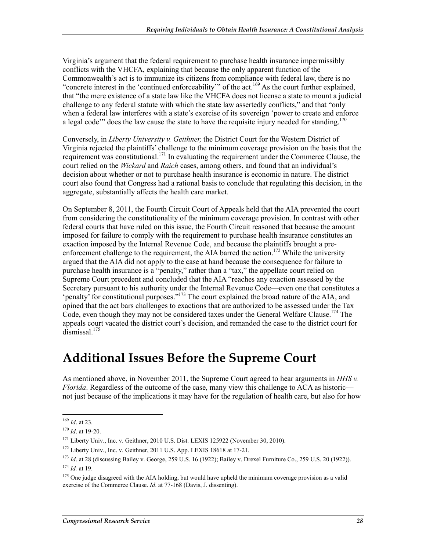Virginia's argument that the federal requirement to purchase health insurance impermissibly conflicts with the VHCFA, explaining that because the only apparent function of the Commonwealth's act is to immunize its citizens from compliance with federal law, there is no "concrete interest in the 'continued enforceability'" of the act.<sup>169</sup> As the court further explained, that "the mere existence of a state law like the VHCFA does not license a state to mount a judicial challenge to any federal statute with which the state law assertedly conflicts," and that "only when a federal law interferes with a state's exercise of its sovereign 'power to create and enforce a legal code'" does the law cause the state to have the requisite injury needed for standing.<sup>170</sup>

Conversely, in *Liberty University v. Geithner,* the District Court for the Western District of Virginia rejected the plaintiffs' challenge to the minimum coverage provision on the basis that the requirement was constitutional.<sup>171</sup> In evaluating the requirement under the Commerce Clause, the court relied on the *Wickard* and *Raich* cases, among others, and found that an individual's decision about whether or not to purchase health insurance is economic in nature. The district court also found that Congress had a rational basis to conclude that regulating this decision, in the aggregate, substantially affects the health care market.

On September 8, 2011, the Fourth Circuit Court of Appeals held that the AIA prevented the court from considering the constitutionality of the minimum coverage provision. In contrast with other federal courts that have ruled on this issue, the Fourth Circuit reasoned that because the amount imposed for failure to comply with the requirement to purchase health insurance constitutes an exaction imposed by the Internal Revenue Code, and because the plaintiffs brought a preenforcement challenge to the requirement, the AIA barred the action.<sup>172</sup> While the university argued that the AIA did not apply to the case at hand because the consequence for failure to purchase health insurance is a "penalty," rather than a "tax," the appellate court relied on Supreme Court precedent and concluded that the AIA "reaches any exaction assessed by the Secretary pursuant to his authority under the Internal Revenue Code—even one that constitutes a 'penalty' for constitutional purposes."<sup>173</sup> The court explained the broad nature of the AIA, and opined that the act bars challenges to exactions that are authorized to be assessed under the Tax Code, even though they may not be considered taxes under the General Welfare Clause.<sup>174</sup> The appeals court vacated the district court's decision, and remanded the case to the district court for dismissal.<sup>175</sup>

## **Additional Issues Before the Supreme Court**

As mentioned above, in November 2011, the Supreme Court agreed to hear arguments in *HHS v. Florida*. Regardless of the outcome of the case, many view this challenge to ACA as historic not just because of the implications it may have for the regulation of health care, but also for how

<sup>1</sup> <sup>169</sup> *Id*. at 23.

<sup>170</sup> *Id*. at 19-20.

<sup>&</sup>lt;sup>171</sup> Liberty Univ., Inc. v. Geithner, 2010 U.S. Dist. LEXIS 125922 (November 30, 2010).

<sup>&</sup>lt;sup>172</sup> Liberty Univ., Inc. v. Geithner, 2011 U.S. App. LEXIS 18618 at 17-21.

<sup>173</sup> *Id*. at 28 (discussing Bailey v. George, 259 U.S. 16 (1922); Bailey v. Drexel Furniture Co., 259 U.S. 20 (1922)). <sup>174</sup> *Id.* at 19.

<sup>&</sup>lt;sup>175</sup> One judge disagreed with the AIA holding, but would have upheld the minimum coverage provision as a valid exercise of the Commerce Clause. *Id*. at 77-168 (Davis, J. dissenting).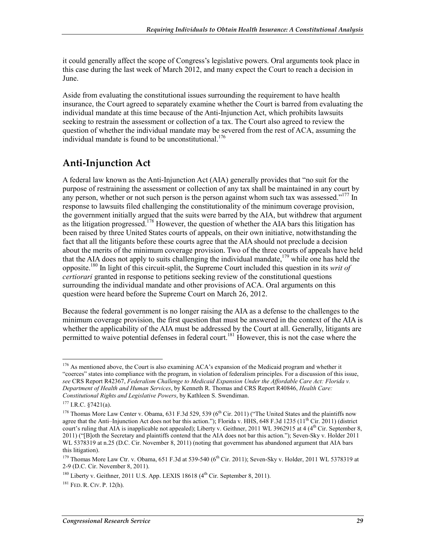it could generally affect the scope of Congress's legislative powers. Oral arguments took place in this case during the last week of March 2012, and many expect the Court to reach a decision in June.

Aside from evaluating the constitutional issues surrounding the requirement to have health insurance, the Court agreed to separately examine whether the Court is barred from evaluating the individual mandate at this time because of the Anti-Injunction Act, which prohibits lawsuits seeking to restrain the assessment or collection of a tax. The Court also agreed to review the question of whether the individual mandate may be severed from the rest of ACA, assuming the individual mandate is found to be unconstitutional.<sup>176</sup>

### **Anti-Injunction Act**

A federal law known as the Anti-Injunction Act (AIA) generally provides that "no suit for the purpose of restraining the assessment or collection of any tax shall be maintained in any court by any person, whether or not such person is the person against whom such tax was assessed."<sup>177</sup> In response to lawsuits filed challenging the constitutionality of the minimum coverage provision, the government initially argued that the suits were barred by the AIA, but withdrew that argument as the litigation progressed.<sup>178</sup> However, the question of whether the AIA bars this litigation has been raised by three United States courts of appeals, on their own initiative, notwithstanding the fact that all the litigants before these courts agree that the AIA should not preclude a decision about the merits of the minimum coverage provision. Two of the three courts of appeals have held that the AIA does not apply to suits challenging the individual mandate,  $179$  while one has held the opposite.180 In light of this circuit-split, the Supreme Court included this question in its *writ of certiorari* granted in response to petitions seeking review of the constitutional questions surrounding the individual mandate and other provisions of ACA. Oral arguments on this question were heard before the Supreme Court on March 26, 2012.

Because the federal government is no longer raising the AIA as a defense to the challenges to the minimum coverage provision, the first question that must be answered in the context of the AIA is whether the applicability of the AIA must be addressed by the Court at all. Generally, litigants are permitted to waive potential defenses in federal court.<sup>181</sup> However, this is not the case where the

<u>.</u>

<sup>&</sup>lt;sup>176</sup> As mentioned above, the Court is also examining ACA's expansion of the Medicaid program and whether it "coerces" states into compliance with the program, in violation of federalism principles. For a discussion of this issue, *see* CRS Report R42367, *Federalism Challenge to Medicaid Expansion Under the Affordable Care Act: Florida v. Department of Health and Human Services*, by Kenneth R. Thomas and CRS Report R40846, *Health Care: Constitutional Rights and Legislative Powers*, by Kathleen S. Swendiman.

 $177$  I.R.C.  $$7421(a)$ .

<sup>&</sup>lt;sup>178</sup> Thomas More Law Center v. Obama,  $631$  F.3d  $529$ ,  $539$  ( $6<sup>th</sup>$  Cir. 2011) ("The United States and the plaintiffs now agree that the Anti–Injunction Act does not bar this action."); Florida v. HHS, 648 F.3d 1235 (11<sup>th</sup> Cir. 2011) (district court's ruling that AIA is inapplicable not appealed); Liberty v. Geithner, 2011 WL 3962915 at 4 (4<sup>th</sup> Cir. September 8, 2011) ("[B]oth the Secretary and plaintiffs contend that the AIA does not bar this action."); Seven-Sky v. Holder 2011 WL 5378319 at n.25 (D.C. Cir. November 8, 2011) (noting that government has abandoned argument that AIA bars this litigation).

 $179$  Thomas More Law Ctr. v. Obama, 651 F.3d at 539-540 ( $6^{th}$  Cir. 2011); Seven-Sky v. Holder, 2011 WL 5378319 at 2-9 (D.C. Cir. November 8, 2011).

 $180$  Liberty v. Geithner, 2011 U.S. App. LEXIS 18618 ( $4<sup>th</sup>$  Cir. September 8, 2011).

 $181$  FED. R. CIV. P. 12(h).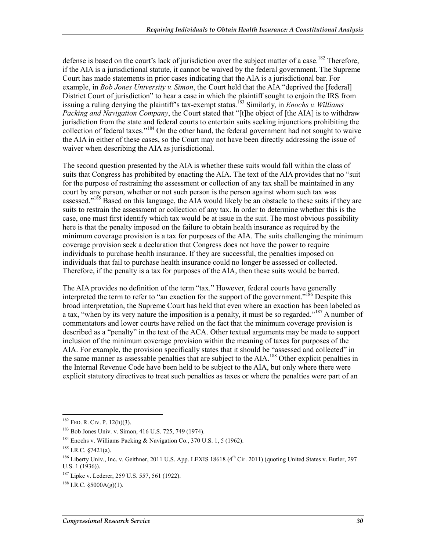defense is based on the court's lack of jurisdiction over the subject matter of a case.<sup>182</sup> Therefore, if the AIA is a jurisdictional statute, it cannot be waived by the federal government. The Supreme Court has made statements in prior cases indicating that the AIA is a jurisdictional bar. For example, in *Bob Jones University v. Simon*, the Court held that the AIA "deprived the [federal] District Court of jurisdiction" to hear a case in which the plaintiff sought to enjoin the IRS from issuing a ruling denying the plaintiff's tax-exempt status.183 Similarly, in *Enochs v. Williams Packing and Navigation Company*, the Court stated that "[t]he object of [the AIA] is to withdraw jurisdiction from the state and federal courts to entertain suits seeking injunctions prohibiting the collection of federal taxes."<sup>184</sup> On the other hand, the federal government had not sought to waive the AIA in either of these cases, so the Court may not have been directly addressing the issue of waiver when describing the AIA as jurisdictional.

The second question presented by the AIA is whether these suits would fall within the class of suits that Congress has prohibited by enacting the AIA. The text of the AIA provides that no "suit for the purpose of restraining the assessment or collection of any tax shall be maintained in any court by any person, whether or not such person is the person against whom such tax was assessed."<sup>185</sup> Based on this language, the AIA would likely be an obstacle to these suits if they are suits to restrain the assessment or collection of any tax. In order to determine whether this is the case, one must first identify which tax would be at issue in the suit. The most obvious possibility here is that the penalty imposed on the failure to obtain health insurance as required by the minimum coverage provision is a tax for purposes of the AIA. The suits challenging the minimum coverage provision seek a declaration that Congress does not have the power to require individuals to purchase health insurance. If they are successful, the penalties imposed on individuals that fail to purchase health insurance could no longer be assessed or collected. Therefore, if the penalty is a tax for purposes of the AIA, then these suits would be barred.

The AIA provides no definition of the term "tax." However, federal courts have generally interpreted the term to refer to "an exaction for the support of the government."<sup>186</sup> Despite this broad interpretation, the Supreme Court has held that even where an exaction has been labeled as a tax, "when by its very nature the imposition is a penalty, it must be so regarded."<sup>187</sup> A number of commentators and lower courts have relied on the fact that the minimum coverage provision is described as a "penalty" in the text of the ACA. Other textual arguments may be made to support inclusion of the minimum coverage provision within the meaning of taxes for purposes of the AIA. For example, the provision specifically states that it should be "assessed and collected" in the same manner as assessable penalties that are subject to the AIA.<sup>188</sup> Other explicit penalties in the Internal Revenue Code have been held to be subject to the AIA, but only where there were explicit statutory directives to treat such penalties as taxes or where the penalties were part of an

 $182$  FED. R. CIV. P. 12(h)(3).

<sup>183</sup> Bob Jones Univ. v. Simon, 416 U.S. 725, 749 (1974).

<sup>&</sup>lt;sup>184</sup> Enochs v. Williams Packing & Navigation Co., 370 U.S. 1, 5 (1962).

 $185$  I.R.C.  $87421(a)$ .

<sup>&</sup>lt;sup>186</sup> Liberty Univ., Inc. v. Geithner, 2011 U.S. App. LEXIS 18618 (4<sup>th</sup> Cir. 2011) (quoting United States v. Butler, 297 U.S. 1 (1936)).

<sup>187</sup> Lipke v. Lederer, 259 U.S. 557, 561 (1922).

 $188$  I.R.C. §5000A(g)(1).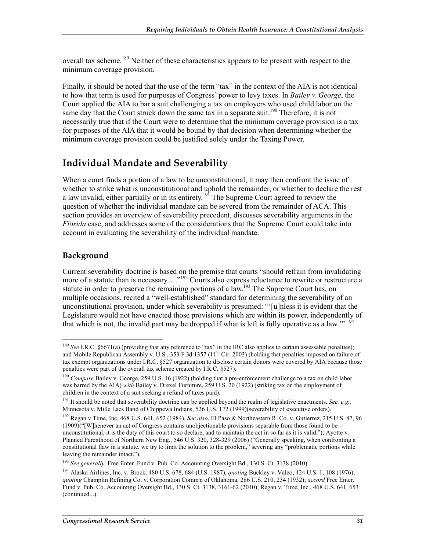overall tax scheme.<sup>189</sup> Neither of these characteristics appears to be present with respect to the minimum coverage provision.

Finally, it should be noted that the use of the term "tax" in the context of the AIA is not identical to how that term is used for purposes of Congress' power to levy taxes. In *Bailey v. George*, the Court applied the AIA to bar a suit challenging a tax on employers who used child labor on the same day that the Court struck down the same tax in a separate suit.<sup>190</sup> Therefore, it is not necessarily true that if the Court were to determine that the minimum coverage provision is a tax for purposes of the AIA that it would be bound by that decision when determining whether the minimum coverage provision could be justified solely under the Taxing Power.

### **Individual Mandate and Severability**

When a court finds a portion of a law to be unconstitutional, it may then confront the issue of whether to strike what is unconstitutional and uphold the remainder, or whether to declare the rest a law invalid, either partially or in its entirety.<sup>191</sup> The Supreme Court agreed to review the question of whether the individual mandate can be severed from the remainder of ACA. This section provides an overview of severability precedent, discusses severability arguments in the *Florida* case, and addresses some of the considerations that the Supreme Court could take into account in evaluating the severability of the individual mandate.

#### **Background**

Current severability doctrine is based on the premise that courts "should refrain from invalidating more of a statute than is necessary...."<sup>192</sup> Courts also express reluctance to rewrite or restructure a statute in order to preserve the remaining portions of a law.<sup>193</sup> The Supreme Court has, on multiple occasions, recited a "well-established" standard for determining the severability of an unconstitutional provision, under which severability is presumed: "'[u]nless it is evident that the Legislature would not have enacted those provisions which are within its power, independently of that which is not, the invalid part may be dropped if what is left is fully operative as a law."<sup>194</sup>

<sup>&</sup>lt;u>.</u> <sup>189</sup> *See* I.R.C. §6671(a) (providing that any reference to "tax" in the IRC also applies to certain assessable penalties); and Mobile Republican Assembly v. U.S., 353 F.3d 1357 ( $11<sup>th</sup>$  Cir. 2003) (holding that penalties imposed on failure of tax exempt organizations under I.R.C. §527 organization to disclose certain donors were covered by AIA because those penalties were part of the overall tax scheme created by I.R.C. §527).

<sup>&</sup>lt;sup>190</sup> *Compare Bailey v. George, 259 U.S. 16 (1922) (holding that a pre-enforcement challenge to a tax on child labor* was barred by the AIA) *with* Bailey v. Drexel Furniture, 259 U.S. 20 (1922) (striking tax on the employment of children in the context of a suit seeking a refund of taxes paid).

<sup>191</sup> It should be noted that severability doctrine can be applied beyond the realm of legislative enactments. *See, e.g.,* Minnesota v. Mille Lacs Band of Chippewa Indians, 526 U.S. 172 (1999)(severability of executive orders).

<sup>192</sup> Regan v Time, Inc. 468 U.S. 641, 652 (1984). *See also*, El Paso & Northeastern R. Co. v. Gutierrez, 215 U.S. 87, 96 (1909)("[W]henever an act of Congress contains unobjectionable provisions separable from those found to be unconstitutional, it is the duty of this court to so declare, and to maintain the act in so far as it is valid."); Ayotte v. Planned Parenthood of Northern New Eng., 546 U.S. 320, 328-329 (2006) ("Generally speaking, when confronting a constitutional flaw in a statute, we try to limit the solution to the problem," severing any "problematic portions while leaving the remainder intact.").

<sup>&</sup>lt;sup>193</sup> See generally, Free Enter. Fund v. Pub. Co. Accounting Oversight Bd., 130 S. Ct. 3138 (2010).

<sup>194</sup> Alaska Airlines, Inc. v. Brock, 480 U.S. 678, 684 (U.S. 1987), *quoting* Buckley v. Valeo, 424 U.S. 1, 108 (1976); *quoting* Champlin Refining Co. v. Corporation Comm'n of Oklahoma, 286 U.S. 210, 234 (1932); *accord* Free Enter. Fund v. Pub. Co. Accounting Oversight Bd., 130 S. Ct. 3138, 3161-62 (2010); Regan v. Time, Inc., 468 U.S. 641, 653 (continued...)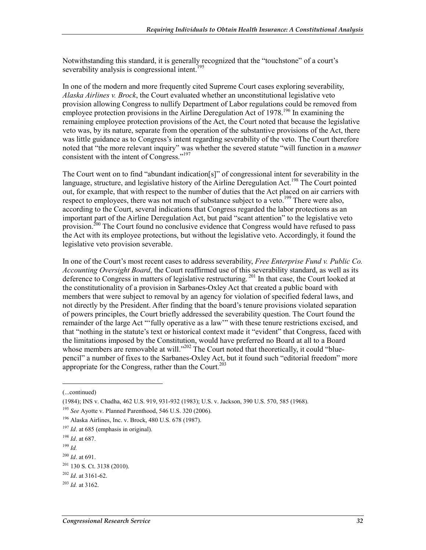Notwithstanding this standard, it is generally recognized that the "touchstone" of a court's severability analysis is congressional intent.<sup>195</sup>

In one of the modern and more frequently cited Supreme Court cases exploring severability, *Alaska Airlines v. Brock*, the Court evaluated whether an unconstitutional legislative veto provision allowing Congress to nullify Department of Labor regulations could be removed from employee protection provisions in the Airline Deregulation Act of  $1978$ <sup>196</sup> In examining the remaining employee protection provisions of the Act, the Court noted that because the legislative veto was, by its nature, separate from the operation of the substantive provisions of the Act, there was little guidance as to Congress's intent regarding severability of the veto. The Court therefore noted that "the more relevant inquiry" was whether the severed statute "will function in a *manner* consistent with the intent of Congress."197

The Court went on to find "abundant indication[s]" of congressional intent for severability in the language, structure, and legislative history of the Airline Deregulation Act.<sup>198</sup> The Court pointed out, for example, that with respect to the number of duties that the Act placed on air carriers with respect to employees, there was not much of substance subject to a veto.<sup>199</sup> There were also, according to the Court, several indications that Congress regarded the labor protections as an important part of the Airline Deregulation Act, but paid "scant attention" to the legislative veto provision.<sup>200</sup> The Court found no conclusive evidence that Congress would have refused to pass the Act with its employee protections, but without the legislative veto. Accordingly, it found the legislative veto provision severable.

In one of the Court's most recent cases to address severability, *Free Enterprise Fund v. Public Co. Accounting Oversight Board*, the Court reaffirmed use of this severability standard, as well as its deference to Congress in matters of legislative restructuring.<sup>201</sup> In that case, the Court looked at the constitutionality of a provision in Sarbanes-Oxley Act that created a public board with members that were subject to removal by an agency for violation of specified federal laws, and not directly by the President. After finding that the board's tenure provisions violated separation of powers principles, the Court briefly addressed the severability question. The Court found the remainder of the large Act "'fully operative as a law'" with these tenure restrictions excised, and that "nothing in the statute's text or historical context made it "evident" that Congress, faced with the limitations imposed by the Constitution, would have preferred no Board at all to a Board whose members are removable at will."<sup>202</sup> The Court noted that theoretically, it could "bluepencil" a number of fixes to the Sarbanes-Oxley Act, but it found such "editorial freedom" more appropriate for the Congress, rather than the Court.<sup>203</sup>

 $\overline{a}$ 

<sup>(...</sup>continued)

<sup>(1984);</sup> INS v. Chadha, 462 U.S. 919, 931-932 (1983); U.S. v. Jackson, 390 U.S. 570, 585 (1968).

<sup>195</sup> *See* Ayotte v. Planned Parenthood, 546 U.S. 320 (2006).

<sup>196</sup> Alaska Airlines, Inc. v. Brock, 480 U.S. 678 (1987).

<sup>197</sup> *Id*. at 685 (emphasis in original).

<sup>198</sup> *Id*. at 687.

<sup>199</sup> *Id.*

<sup>200</sup> *Id*. at 691.

<sup>201 130</sup> S. Ct. 3138 (2010).

<sup>202</sup> *Id*. at 3161-62.

<sup>203</sup> *Id.* at 3162.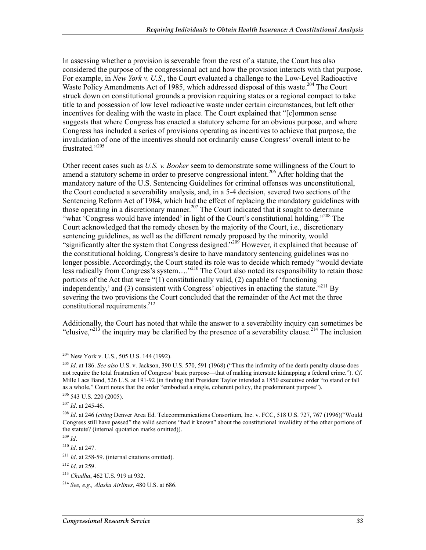In assessing whether a provision is severable from the rest of a statute, the Court has also considered the purpose of the congressional act and how the provision interacts with that purpose. For example, in *New York v. U.S.*, the Court evaluated a challenge to the Low-Level Radioactive Waste Policy Amendments Act of 1985, which addressed disposal of this waste.<sup>204</sup> The Court struck down on constitutional grounds a provision requiring states or a regional compact to take title to and possession of low level radioactive waste under certain circumstances, but left other incentives for dealing with the waste in place. The Court explained that "[c]ommon sense suggests that where Congress has enacted a statutory scheme for an obvious purpose, and where Congress has included a series of provisions operating as incentives to achieve that purpose, the invalidation of one of the incentives should not ordinarily cause Congress' overall intent to be frustrated<sup>"205</sup>

Other recent cases such as *U.S. v. Booker* seem to demonstrate some willingness of the Court to amend a statutory scheme in order to preserve congressional intent.<sup>206</sup> After holding that the mandatory nature of the U.S. Sentencing Guidelines for criminal offenses was unconstitutional, the Court conducted a severability analysis, and, in a 5-4 decision, severed two sections of the Sentencing Reform Act of 1984, which had the effect of replacing the mandatory guidelines with those operating in a discretionary manner.<sup>207</sup> The Court indicated that it sought to determine "what 'Congress would have intended' in light of the Court's constitutional holding."<sup>208</sup> The Court acknowledged that the remedy chosen by the majority of the Court, i.e., discretionary sentencing guidelines, as well as the different remedy proposed by the minority, would "significantly alter the system that Congress designed."<sup>209</sup> However, it explained that because of the constitutional holding, Congress's desire to have mandatory sentencing guidelines was no longer possible. Accordingly, the Court stated its role was to decide which remedy "would deviate less radically from Congress's system...."<sup>210</sup> The Court also noted its responsibility to retain those portions of the Act that were "(1) constitutionally valid, (2) capable of 'functioning independently,' and (3) consistent with Congress' objectives in enacting the statute."<sup>211</sup> By severing the two provisions the Court concluded that the remainder of the Act met the three constitutional requirements.<sup>212</sup>

Additionally, the Court has noted that while the answer to a severability inquiry can sometimes be "elusive,"<sup>213</sup> the inquiry may be clarified by the presence of a severability clause.<sup>214</sup> The inclusion

<sup>209</sup> *Id*.

<sup>&</sup>lt;u>.</u>  $204$  New York v. U.S., 505 U.S. 144 (1992).

<sup>205</sup> *Id*. at 186. *See also* U.S. v. Jackson, 390 U.S. 570, 591 (1968) ("Thus the infirmity of the death penalty clause does not require the total frustration of Congress' basic purpose—that of making interstate kidnapping a federal crime."). *Cf*. Mille Lacs Band, 526 U.S. at 191-92 (in finding that President Taylor intended a 1850 executive order "to stand or fall as a whole," Court notes that the order "embodied a single, coherent policy, the predominant purpose").  $206$  543 U.S. 220 (2005).

<sup>207</sup> *Id*. at 245-46.

<sup>208</sup> *Id*. at 246 (*citing* Denver Area Ed. Telecommunications Consortium, Inc. v. FCC, 518 U.S. 727, 767 (1996)("Would Congress still have passed" the valid sections "had it known" about the constitutional invalidity of the other portions of the statute? (internal quotation marks omitted)).

<sup>210</sup> *Id*. at 247.

<sup>211</sup> *Id*. at 258-59. (internal citations omitted).

<sup>212</sup> *Id*. at 259.

<sup>213</sup> *Chadha*, 462 U.S. 919 at 932.

<sup>214</sup> *See, e.g., Alaska Airlines*, 480 U.S. at 686.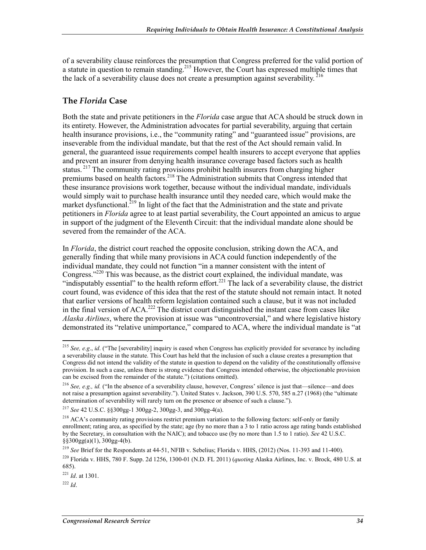of a severability clause reinforces the presumption that Congress preferred for the valid portion of a statute in question to remain standing.<sup>215</sup> However, the Court has expressed multiple times that the lack of a severability clause does not create a presumption against severability.  $^{216}$ 

#### **The** *Florida* **Case**

Both the state and private petitioners in the *Florida* case argue that ACA should be struck down in its entirety. However, the Administration advocates for partial severability, arguing that certain health insurance provisions, i.e., the "community rating" and "guaranteed issue" provisions, are inseverable from the individual mandate, but that the rest of the Act should remain valid. In general, the guaranteed issue requirements compel health insurers to accept everyone that applies and prevent an insurer from denying health insurance coverage based factors such as health status.<sup>217</sup> The community rating provisions prohibit health insurers from charging higher premiums based on health factors.<sup>218</sup> The Administration submits that Congress intended that these insurance provisions work together, because without the individual mandate, individuals would simply wait to purchase health insurance until they needed care, which would make the market dysfunctional.<sup>219</sup> In light of the fact that the Administration and the state and private petitioners in *Florida* agree to at least partial severability, the Court appointed an amicus to argue in support of the judgment of the Eleventh Circuit: that the individual mandate alone should be severed from the remainder of the ACA.

In *Florida*, the district court reached the opposite conclusion, striking down the ACA, and generally finding that while many provisions in ACA could function independently of the individual mandate, they could not function "in a manner consistent with the intent of Congress."220 This was because, as the district court explained, the individual mandate, was "indisputably essential" to the health reform effort.<sup>221</sup> The lack of a severability clause, the district court found, was evidence of this idea that the rest of the statute should not remain intact. It noted that earlier versions of health reform legislation contained such a clause, but it was not included in the final version of ACA.<sup>222</sup> The district court distinguished the instant case from cases like *Alaska Airlines*, where the provision at issue was "uncontroversial," and where legislative history demonstrated its "relative unimportance," compared to ACA, where the individual mandate is "at

<sup>&</sup>lt;sup>215</sup> *See, e.g., id.* ("The [severability] inquiry is eased when Congress has explicitly provided for severance by including a severability clause in the statute. This Court has held that the inclusion of such a clause creates a presumption that Congress did not intend the validity of the statute in question to depend on the validity of the constitutionally offensive provision. In such a case, unless there is strong evidence that Congress intended otherwise, the objectionable provision can be excised from the remainder of the statute.") (citations omitted).

<sup>216</sup> *See, e.g., id.* ("In the absence of a severability clause, however, Congress' silence is just that—silence—and does not raise a presumption against severability."). United States v. Jackson, 390 U.S. 570, 585 n.27 (1968) (the "ultimate determination of severability will rarely turn on the presence or absence of such a clause.").

<sup>217</sup> *See* 42 U.S.C. §§300gg-1 300gg-2, 300gg-3, and 300gg-4(a).

<sup>&</sup>lt;sup>218</sup> ACA's community rating provisions restrict premium variation to the following factors: self-only or family enrollment; rating area, as specified by the state; age (by no more than a 3 to 1 ratio across age rating bands established by the Secretary, in consultation with the NAIC); and tobacco use (by no more than 1.5 to 1 ratio). *See* 42 U.S.C.  $\S$ §300gg(a)(1), 300gg-4(b).

<sup>219</sup> *See* Brief for the Respondents at 44-51, NFIB v. Sebelius; Florida v. HHS, (2012) (Nos. 11-393 and 11-400).

<sup>220</sup> Florida v. HHS, 780 F. Supp. 2d 1256, 1300-01 (N.D. FL 2011) (*quoting* Alaska Airlines, Inc. v. Brock, 480 U.S. at 685).

<sup>221</sup> *Id*. at 1301.

 $^{222}$  *Id*.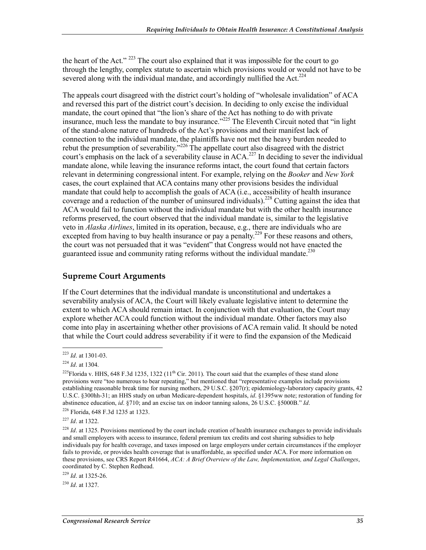the heart of the Act."  $^{223}$  The court also explained that it was impossible for the court to go through the lengthy, complex statute to ascertain which provisions would or would not have to be severed along with the individual mandate, and accordingly nullified the Act.<sup>224</sup>

The appeals court disagreed with the district court's holding of "wholesale invalidation" of ACA and reversed this part of the district court's decision. In deciding to only excise the individual mandate, the court opined that "the lion's share of the Act has nothing to do with private insurance, much less the mandate to buy insurance."<sup>225</sup> The Eleventh Circuit noted that "in light" of the stand-alone nature of hundreds of the Act's provisions and their manifest lack of connection to the individual mandate, the plaintiffs have not met the heavy burden needed to rebut the presumption of severability."<sup>226</sup> The appellate court also disagreed with the district court's emphasis on the lack of a severability clause in  $ACA$ <sup>227</sup>. In deciding to sever the individual mandate alone, while leaving the insurance reforms intact, the court found that certain factors relevant in determining congressional intent. For example, relying on the *Booker* and *New York* cases, the court explained that ACA contains many other provisions besides the individual mandate that could help to accomplish the goals of ACA (i.e., accessibility of health insurance coverage and a reduction of the number of uninsured individuals).<sup>228</sup> Cutting against the idea that ACA would fail to function without the individual mandate but with the other health insurance reforms preserved, the court observed that the individual mandate is, similar to the legislative veto in *Alaska Airlines*, limited in its operation, because, e.g., there are individuals who are excepted from having to buy health insurance or pay a penalty.<sup>229</sup> For these reasons and others, the court was not persuaded that it was "evident" that Congress would not have enacted the guaranteed issue and community rating reforms without the individual mandate.<sup>230</sup>

#### **Supreme Court Arguments**

If the Court determines that the individual mandate is unconstitutional and undertakes a severability analysis of ACA, the Court will likely evaluate legislative intent to determine the extent to which ACA should remain intact. In conjunction with that evaluation, the Court may explore whether ACA could function without the individual mandate. Other factors may also come into play in ascertaining whether other provisions of ACA remain valid. It should be noted that while the Court could address severability if it were to find the expansion of the Medicaid

<sup>230</sup> *Id*. at 1327.

<sup>1</sup> <sup>223</sup> *Id*. at 1301-03.

<sup>224</sup> *Id*. at 1304.

<sup>&</sup>lt;sup>225</sup>Florida v. HHS, 648 F.3d 1235, 1322 ( $11<sup>th</sup>$  Cir. 2011). The court said that the examples of these stand alone provisions were "too numerous to bear repeating," but mentioned that "representative examples include provisions establishing reasonable break time for nursing mothers, 29 U.S.C.  $\S207(r)$ ; epidemiology-laboratory capacity grants, 42 U.S.C. §300hh-31; an HHS study on urban Medicare-dependent hospitals, *id*. §1395ww note; restoration of funding for abstinence education, *id*. §710; and an excise tax on indoor tanning salons, 26 U.S.C. §5000B." *Id*.

<sup>226</sup> Florida, 648 F.3d 1235 at 1323.

<sup>227</sup> *Id*. at 1322.

<sup>&</sup>lt;sup>228</sup> *Id.* at 1325. Provisions mentioned by the court include creation of health insurance exchanges to provide individuals and small employers with access to insurance, federal premium tax credits and cost sharing subsidies to help individuals pay for health coverage, and taxes imposed on large employers under certain circumstances if the employer fails to provide, or provides health coverage that is unaffordable, as specified under ACA. For more information on these provisions, see CRS Report R41664, *ACA: A Brief Overview of the Law, Implementation, and Legal Challenges*, coordinated by C. Stephen Redhead.

<sup>229</sup> *Id*. at 1325-26.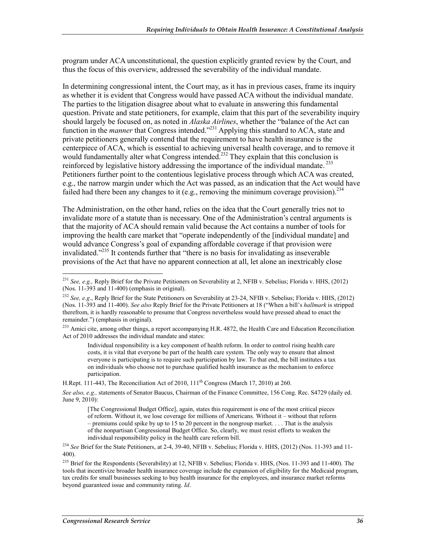program under ACA unconstitutional, the question explicitly granted review by the Court, and thus the focus of this overview, addressed the severability of the individual mandate.

In determining congressional intent, the Court may, as it has in previous cases, frame its inquiry as whether it is evident that Congress would have passed ACA without the individual mandate. The parties to the litigation disagree about what to evaluate in answering this fundamental question. Private and state petitioners, for example, claim that this part of the severability inquiry should largely be focused on, as noted in *Alaska Airlines*, whether the "balance of the Act can function in the *manner* that Congress intended.<sup>"231</sup> Applying this standard to ACA, state and private petitioners generally contend that the requirement to have health insurance is the centerpiece of ACA, which is essential to achieving universal health coverage, and to remove it would fundamentally alter what Congress intended.<sup>232</sup> They explain that this conclusion is reinforced by legislative history addressing the importance of the individual mandate.  $^{233}$ Petitioners further point to the contentious legislative process through which ACA was created, e.g., the narrow margin under which the Act was passed, as an indication that the Act would have failed had there been any changes to it (e.g., removing the minimum coverage provision).<sup>234</sup>

The Administration, on the other hand, relies on the idea that the Court generally tries not to invalidate more of a statute than is necessary. One of the Administration's central arguments is that the majority of ACA should remain valid because the Act contains a number of tools for improving the health care market that "operate independently of the [individual mandate] and would advance Congress's goal of expanding affordable coverage if that provision were invalidated."235 It contends further that "there is no basis for invalidating as inseverable provisions of the Act that have no apparent connection at all, let alone an inextricably close

Individual responsibility is a key component of health reform. In order to control rising health care costs, it is vital that everyone be part of the health care system. The only way to ensure that almost everyone is participating is to require such participation by law. To that end, the bill institutes a tax on individuals who choose not to purchase qualified health insurance as the mechanism to enforce participation.

H.Rept. 111-443, The Reconciliation Act of 2010,  $111<sup>th</sup>$  Congress (March 17, 2010) at 260.

*See also, e.g.,* statements of Senator Baucus, Chairman of the Finance Committee, 156 Cong. Rec. S4729 (daily ed. June 9, 2010):

<sup>234</sup> *See* Brief for the State Petitioners, at 2-4, 39-40, NFIB v. Sebelius; Florida v. HHS, (2012) (Nos. 11-393 and 11- 400).

<sup>1</sup> <sup>231</sup> *See, e.g.,* Reply Brief for the Private Petitioners on Severability at 2, NFIB v. Sebelius; Florida v. HHS, (2012) (Nos. 11-393 and 11-400) (emphasis in original).

<sup>232</sup> *See, e.g*., Reply Brief for the State Petitioners on Severability at 23-24, NFIB v. Sebelius; Florida v. HHS, (2012) (Nos. 11-393 and 11-400). *See also* Reply Brief for the Private Petitioners at 18 ("When a bill's *hallmark* is stripped therefrom, it is hardly reasonable to presume that Congress nevertheless would have pressed ahead to enact the remainder.") (emphasis in original).

<sup>&</sup>lt;sup>233</sup> Amici cite, among other things, a report accompanying H.R. 4872, the Health Care and Education Reconciliation Act of 2010 addresses the individual mandate and states:

<sup>[</sup>The Congressional Budget Office], again, states this requirement is one of the most critical pieces of reform. Without it, we lose coverage for millions of Americans. Without it – without that reform – premiums could spike by up to 15 to 20 percent in the nongroup market.  $\ldots$  That is the analysis of the nonpartisan Congressional Budget Office. So, clearly, we must resist efforts to weaken the individual responsibility policy in the health care reform bill.

<sup>&</sup>lt;sup>235</sup> Brief for the Respondents (Severability) at 12, NFIB v. Sebelius; Florida v. HHS, (Nos. 11-393 and 11-400). The tools that incentivize broader health insurance coverage include the expansion of eligibility for the Medicaid program, tax credits for small businesses seeking to buy health insurance for the employees, and insurance market reforms beyond guaranteed issue and community rating. *Id*.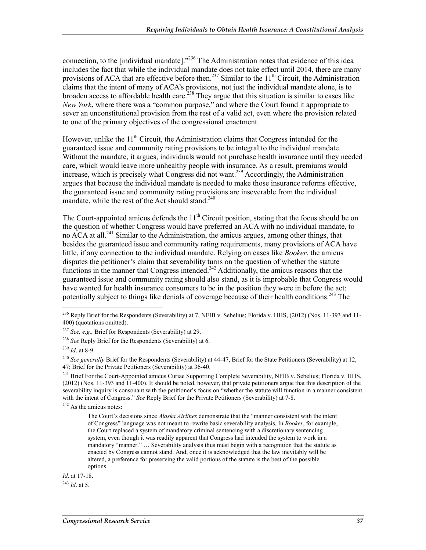connection, to the [individual mandate]."<sup>236</sup> The Administration notes that evidence of this idea includes the fact that while the individual mandate does not take effect until 2014, there are many provisions of ACA that are effective before then.<sup>237</sup> Similar to the  $11<sup>th</sup>$  Circuit, the Administration claims that the intent of many of ACA's provisions, not just the individual mandate alone, is to broaden access to affordable health care.<sup>238</sup> They argue that this situation is similar to cases like *New York*, where there was a "common purpose," and where the Court found it appropriate to sever an unconstitutional provision from the rest of a valid act, even where the provision related to one of the primary objectives of the congressional enactment.

However, unlike the  $11<sup>th</sup>$  Circuit, the Administration claims that Congress intended for the guaranteed issue and community rating provisions to be integral to the individual mandate. Without the mandate, it argues, individuals would not purchase health insurance until they needed care, which would leave more unhealthy people with insurance. As a result, premiums would increase, which is precisely what Congress did not want.<sup>239</sup> Accordingly, the Administration argues that because the individual mandate is needed to make those insurance reforms effective, the guaranteed issue and community rating provisions are inseverable from the individual mandate, while the rest of the Act should stand. $240$ 

The Court-appointed amicus defends the  $11<sup>th</sup>$  Circuit position, stating that the focus should be on the question of whether Congress would have preferred an ACA with no individual mandate, to no  $\overline{ACA}$  at all.<sup>241</sup> Similar to the Administration, the amicus argues, among other things, that besides the guaranteed issue and community rating requirements, many provisions of ACA have little, if any connection to the individual mandate. Relying on cases like *Booker*, the amicus disputes the petitioner's claim that severability turns on the question of whether the statute functions in the manner that Congress intended.<sup>242</sup> Additionally, the amicus reasons that the guaranteed issue and community rating should also stand, as it is improbable that Congress would have wanted for health insurance consumers to be in the position they were in before the act: potentially subject to things like denials of coverage because of their health conditions.<sup>243</sup> The

*Id*. at 17-18.

<sup>243</sup> *Id*. at 5.

<sup>1</sup> <sup>236</sup> Reply Brief for the Respondents (Severability) at 7, NFIB v. Sebelius; Florida v. HHS, (2012) (Nos. 11-393 and 11-400) (quotations omitted).

<sup>237</sup> *See, e.g.,* Brief for Respondents (Severability) at 29.

<sup>238</sup> *See* Reply Brief for the Respondents (Severability) at 6.

<sup>239</sup> *Id*. at 8-9.

<sup>&</sup>lt;sup>240</sup> See generally Brief for the Respondents (Severability) at 44-47, Brief for the State Petitioners (Severability) at 12, 47; Brief for the Private Petitioners (Severability) at 36-40.

<sup>&</sup>lt;sup>241</sup> Brief For the Court-Appointed amicus Curiae Supporting Complete Severability, NFIB v. Sebelius; Florida v. HHS, (2012) (Nos. 11-393 and 11-400). It should be noted, however, that private petitioners argue that this description of the severability inquiry is consonant with the petitioner's focus on "whether the statute will function in a manner consistent with the intent of Congress." *See* Reply Brief for the Private Petitioners (Severability) at 7-8.

 $242$  As the amicus notes:

The Court's decisions since *Alaska Airlines* demonstrate that the "manner consistent with the intent of Congress" language was not meant to rewrite basic severability analysis. In *Booker*, for example, the Court replaced a system of mandatory criminal sentencing with a discretionary sentencing system, even though it was readily apparent that Congress had intended the system to work in a mandatory "manner." … Severability analysis thus must begin with a recognition that the statute as enacted by Congress cannot stand. And, once it is acknowledged that the law inevitably will be altered, a preference for preserving the valid portions of the statute is the best of the possible options.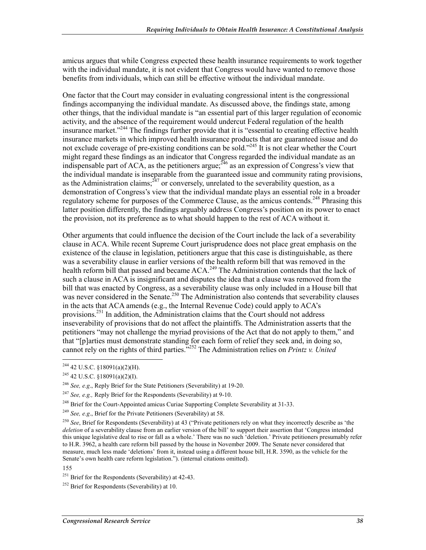amicus argues that while Congress expected these health insurance requirements to work together with the individual mandate, it is not evident that Congress would have wanted to remove those benefits from individuals, which can still be effective without the individual mandate.

One factor that the Court may consider in evaluating congressional intent is the congressional findings accompanying the individual mandate. As discussed above, the findings state, among other things, that the individual mandate is "an essential part of this larger regulation of economic activity, and the absence of the requirement would undercut Federal regulation of the health insurance market."<sup>244</sup> The findings further provide that it is "essential to creating effective health insurance markets in which improved health insurance products that are guaranteed issue and do not exclude coverage of pre-existing conditions can be sold."<sup>245</sup> It is not clear whether the Court might regard these findings as an indicator that Congress regarded the individual mandate as an indispensable part of ACA, as the petitioners argue;  $^{246}$  as an expression of Congress's view that the individual mandate is inseparable from the guaranteed issue and community rating provisions, as the Administration claims;  $^{247}$  or conversely, unrelated to the severability question, as a demonstration of Congress's view that the individual mandate plays an essential role in a broader regulatory scheme for purposes of the Commerce Clause, as the amicus contends.<sup>248</sup> Phrasing this latter position differently, the findings arguably address Congress's position on its power to enact the provision, not its preference as to what should happen to the rest of ACA without it.

Other arguments that could influence the decision of the Court include the lack of a severability clause in ACA. While recent Supreme Court jurisprudence does not place great emphasis on the existence of the clause in legislation, petitioners argue that this case is distinguishable, as there was a severability clause in earlier versions of the health reform bill that was removed in the health reform bill that passed and became  $ACA<sup>249</sup>$ . The Administration contends that the lack of such a clause in ACA is insignificant and disputes the idea that a clause was removed from the bill that was enacted by Congress, as a severability clause was only included in a House bill that was never considered in the Senate.<sup>250</sup> The Administration also contends that severability clauses in the acts that ACA amends (e.g., the Internal Revenue Code) could apply to ACA's provisions.<sup>251</sup> In addition, the Administration claims that the Court should not address inseverability of provisions that do not affect the plaintiffs. The Administration asserts that the petitioners "may not challenge the myriad provisions of the Act that do not apply to them," and that "[p]arties must demonstrate standing for each form of relief they seek and, in doing so, cannot rely on the rights of third parties."252 The Administration relies on *Printz v. United* 

 $^{244}$  42 U.S.C. §18091(a)(2)(H).

 $245$  42 U.S.C.  $$18091(a)(2)(I)$ .

<sup>246</sup> *See, e.g*., Reply Brief for the State Petitioners (Severability) at 19-20.

<sup>247</sup> *See, e.g.,* Reply Brief for the Respondents (Severability) at 9-10.

<sup>&</sup>lt;sup>248</sup> Brief for the Court-Appointed amicus Curiae Supporting Complete Severability at 31-33.

<sup>249</sup> *See, e.g*., Brief for the Private Petitioners (Severability) at 58.

<sup>&</sup>lt;sup>250</sup> See, Brief for Respondents (Severability) at 43 ("Private petitioners rely on what they incorrectly describe as 'the *deletion* of a severability clause from an earlier version of the bill' to support their assertion that 'Congress intended this unique legislative deal to rise or fall as a whole.' There was no such 'deletion.' Private petitioners presumably refer to H.R. 3962, a health care reform bill passed by the house in November 2009. The Senate never considered that measure, much less made 'deletions' from it, instead using a different house bill, H.R. 3590, as the vehicle for the Senate's own health care reform legislation."). (internal citations omitted).

<sup>155</sup> 

 $251$  Brief for the Respondents (Severability) at 42-43.

<sup>&</sup>lt;sup>252</sup> Brief for Respondents (Severability) at 10.